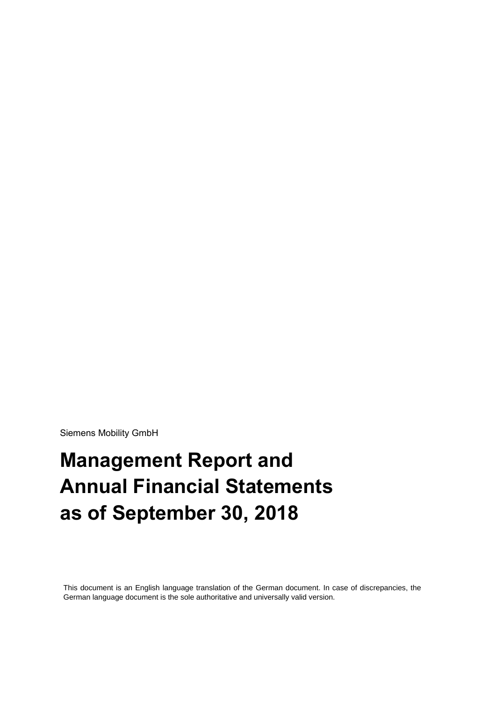Siemens Mobility GmbH

# **Management Report and Annual Financial Statements as of September 30, 2018**

This document is an English language translation of the German document. In case of discrepancies, the German language document is the sole authoritative and universally valid version.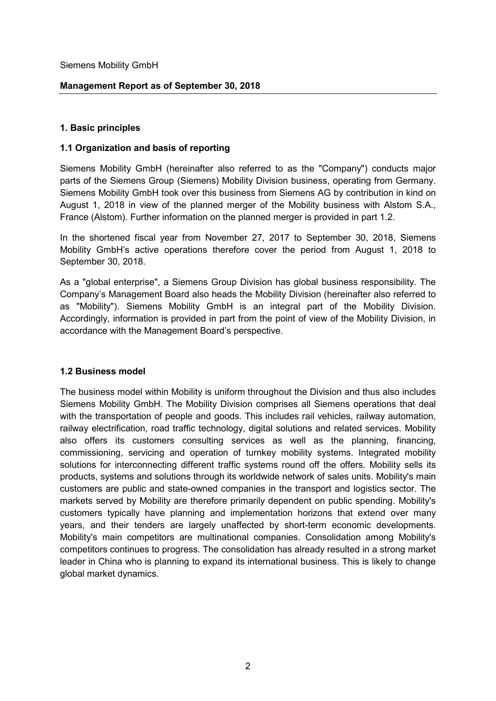Siemens Mobility GmbH

### **Management Report as of September 30, 2018**

#### **1. Basic principles**

#### **1.1 Organization and basis of reporting**

Siemens Mobility GmbH (hereinafter also referred to as the "Company") conducts major parts of the Siemens Group (Siemens) Mobility Division business, operating from Germany. Siemens Mobility GmbH took over this business from Siemens AG by contribution in kind on August 1, 2018 in view of the planned merger of the Mobility business with Alstom S.A., France (Alstom). Further information on the planned merger is provided in part 1.2.

In the shortened fiscal year from November 27, 2017 to September 30, 2018, Siemens Mobility GmbH's active operations therefore cover the period from August 1, 2018 to September 30, 2018.

As a "global enterprise", a Siemens Group Division has global business responsibility. The Company's Management Board also heads the Mobility Division (hereinafter also referred to as "Mobility"). Siemens Mobility GmbH is an integral part of the Mobility Division. Accordingly, information is provided in part from the point of view of the Mobility Division, in accordance with the Management Board's perspective.

#### **1.2 Business model**

The business model within Mobility is uniform throughout the Division and thus also includes Siemens Mobility GmbH. The Mobility Division comprises all Siemens operations that deal with the transportation of people and goods. This includes rail vehicles, railway automation, railway electrification, road traffic technology, digital solutions and related services. Mobility also offers its customers consulting services as well as the planning, financing, commissioning, servicing and operation of turnkey mobility systems. Integrated mobility solutions for interconnecting different traffic systems round off the offers. Mobility sells its products, systems and solutions through its worldwide network of sales units. Mobility's main customers are public and state-owned companies in the transport and logistics sector. The markets served by Mobility are therefore primarily dependent on public spending. Mobility's customers typically have planning and implementation horizons that extend over many years, and their tenders are largely unaffected by short-term economic developments. Mobility's main competitors are multinational companies. Consolidation among Mobility's competitors continues to progress. The consolidation has already resulted in a strong market leader in China who is planning to expand its international business. This is likely to change global market dynamics.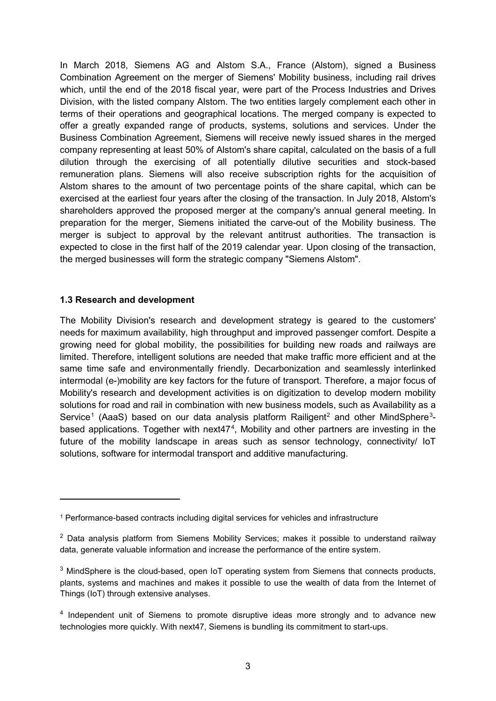In March 2018, Siemens AG and Alstom S.A., France (Alstom), signed a Business Combination Agreement on the merger of Siemens' Mobility business, including rail drives which, until the end of the 2018 fiscal year, were part of the Process Industries and Drives Division, with the listed company Alstom. The two entities largely complement each other in terms of their operations and geographical locations. The merged company is expected to offer a greatly expanded range of products, systems, solutions and services. Under the Business Combination Agreement, Siemens will receive newly issued shares in the merged company representing at least 50% of Alstom's share capital, calculated on the basis of a full dilution through the exercising of all potentially dilutive securities and stock-based remuneration plans. Siemens will also receive subscription rights for the acquisition of Alstom shares to the amount of two percentage points of the share capital, which can be exercised at the earliest four years after the closing of the transaction. In July 2018, Alstom's shareholders approved the proposed merger at the company's annual general meeting. In preparation for the merger, Siemens initiated the carve-out of the Mobility business. The merger is subject to approval by the relevant antitrust authorities. The transaction is expected to close in the first half of the 2019 calendar year. Upon closing of the transaction, the merged businesses will form the strategic company "Siemens Alstom".

#### **1.3 Research and development**

-

The Mobility Division's research and development strategy is geared to the customers' needs for maximum availability, high throughput and improved passenger comfort. Despite a growing need for global mobility, the possibilities for building new roads and railways are limited. Therefore, intelligent solutions are needed that make traffic more efficient and at the same time safe and environmentally friendly. Decarbonization and seamlessly interlinked intermodal (e-)mobility are key factors for the future of transport. Therefore, a major focus of Mobility's research and development activities is on digitization to develop modern mobility solutions for road and rail in combination with new business models, such as Availability as a Service<sup>[1](#page-2-0)</sup> (AaaS) based on our data analysis platform Railigent<sup>[2](#page-2-1)</sup> and other MindSphere<sup>[3](#page-2-2)</sup>-based applications. Together with next[4](#page-2-3)7<sup>4</sup>, Mobility and other partners are investing in the future of the mobility landscape in areas such as sensor technology, connectivity/ IoT solutions, software for intermodal transport and additive manufacturing.

<span id="page-2-0"></span><sup>1</sup> Performance-based contracts including digital services for vehicles and infrastructure

<span id="page-2-1"></span> $2$  Data analysis platform from Siemens Mobility Services; makes it possible to understand railway data, generate valuable information and increase the performance of the entire system.

<span id="page-2-2"></span><sup>&</sup>lt;sup>3</sup> MindSphere is the cloud-based, open IoT operating system from Siemens that connects products, plants, systems and machines and makes it possible to use the wealth of data from the Internet of Things (IoT) through extensive analyses.

<span id="page-2-3"></span><sup>&</sup>lt;sup>4</sup> Independent unit of Siemens to promote disruptive ideas more strongly and to advance new technologies more quickly. With next47, Siemens is bundling its commitment to start-ups.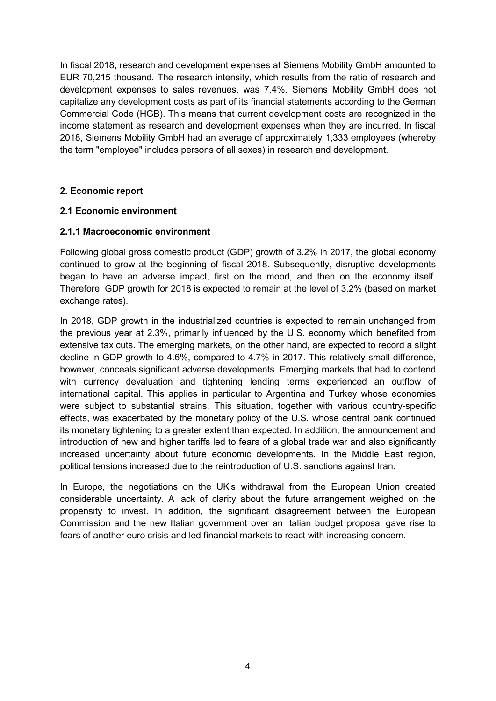In fiscal 2018, research and development expenses at Siemens Mobility GmbH amounted to EUR 70,215 thousand. The research intensity, which results from the ratio of research and development expenses to sales revenues, was 7.4%. Siemens Mobility GmbH does not capitalize any development costs as part of its financial statements according to the German Commercial Code (HGB). This means that current development costs are recognized in the income statement as research and development expenses when they are incurred. In fiscal 2018, Siemens Mobility GmbH had an average of approximately 1,333 employees (whereby the term "employee" includes persons of all sexes) in research and development.

# **2. Economic report**

#### **2.1 Economic environment**

#### **2.1.1 Macroeconomic environment**

Following global gross domestic product (GDP) growth of 3.2% in 2017, the global economy continued to grow at the beginning of fiscal 2018. Subsequently, disruptive developments began to have an adverse impact, first on the mood, and then on the economy itself. Therefore, GDP growth for 2018 is expected to remain at the level of 3.2% (based on market exchange rates).

In 2018, GDP growth in the industrialized countries is expected to remain unchanged from the previous year at 2.3%, primarily influenced by the U.S. economy which benefited from extensive tax cuts. The emerging markets, on the other hand, are expected to record a slight decline in GDP growth to 4.6%, compared to 4.7% in 2017. This relatively small difference, however, conceals significant adverse developments. Emerging markets that had to contend with currency devaluation and tightening lending terms experienced an outflow of international capital. This applies in particular to Argentina and Turkey whose economies were subject to substantial strains. This situation, together with various country-specific effects, was exacerbated by the monetary policy of the U.S. whose central bank continued its monetary tightening to a greater extent than expected. In addition, the announcement and introduction of new and higher tariffs led to fears of a global trade war and also significantly increased uncertainty about future economic developments. In the Middle East region, political tensions increased due to the reintroduction of U.S. sanctions against Iran.

In Europe, the negotiations on the UK's withdrawal from the European Union created considerable uncertainty. A lack of clarity about the future arrangement weighed on the propensity to invest. In addition, the significant disagreement between the European Commission and the new Italian government over an Italian budget proposal gave rise to fears of another euro crisis and led financial markets to react with increasing concern.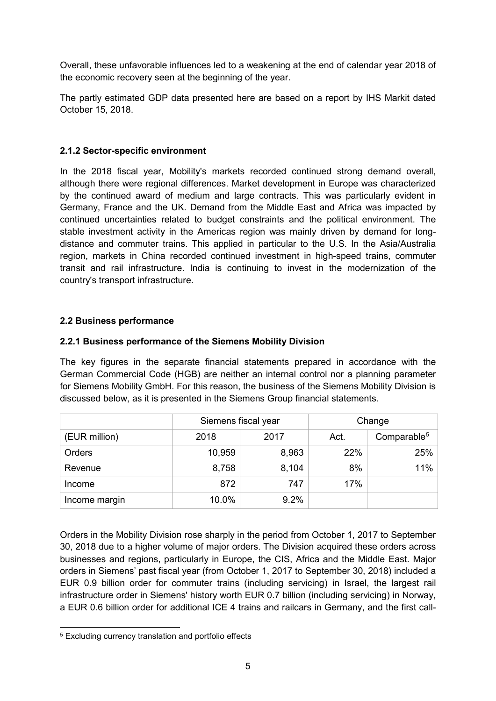Overall, these unfavorable influences led to a weakening at the end of calendar year 2018 of the economic recovery seen at the beginning of the year.

The partly estimated GDP data presented here are based on a report by IHS Markit dated October 15, 2018.

# **2.1.2 Sector-specific environment**

In the 2018 fiscal year, Mobility's markets recorded continued strong demand overall, although there were regional differences. Market development in Europe was characterized by the continued award of medium and large contracts. This was particularly evident in Germany, France and the UK. Demand from the Middle East and Africa was impacted by continued uncertainties related to budget constraints and the political environment. The stable investment activity in the Americas region was mainly driven by demand for longdistance and commuter trains. This applied in particular to the U.S. In the Asia/Australia region, markets in China recorded continued investment in high-speed trains, commuter transit and rail infrastructure. India is continuing to invest in the modernization of the country's transport infrastructure.

# **2.2 Business performance**

# **2.2.1 Business performance of the Siemens Mobility Division**

The key figures in the separate financial statements prepared in accordance with the German Commercial Code (HGB) are neither an internal control nor a planning parameter for Siemens Mobility GmbH. For this reason, the business of the Siemens Mobility Division is discussed below, as it is presented in the Siemens Group financial statements.

|               | Siemens fiscal year |       |      | Change                  |
|---------------|---------------------|-------|------|-------------------------|
| (EUR million) | 2018                | 2017  | Act. | Comparable <sup>5</sup> |
| Orders        | 10,959              | 8,963 | 22%  | 25%                     |
| Revenue       | 8,758               | 8,104 | 8%   | 11%                     |
| Income        | 872                 | 747   | 17%  |                         |
| Income margin | 10.0%               | 9.2%  |      |                         |

Orders in the Mobility Division rose sharply in the period from October 1, 2017 to September 30, 2018 due to a higher volume of major orders. The Division acquired these orders across businesses and regions, particularly in Europe, the CIS, Africa and the Middle East. Major orders in Siemens' past fiscal year (from October 1, 2017 to September 30, 2018) included a EUR 0.9 billion order for commuter trains (including servicing) in Israel, the largest rail infrastructure order in Siemens' history worth EUR 0.7 billion (including servicing) in Norway, a EUR 0.6 billion order for additional ICE 4 trains and railcars in Germany, and the first call-

<span id="page-4-0"></span> <sup>5</sup> Excluding currency translation and portfolio effects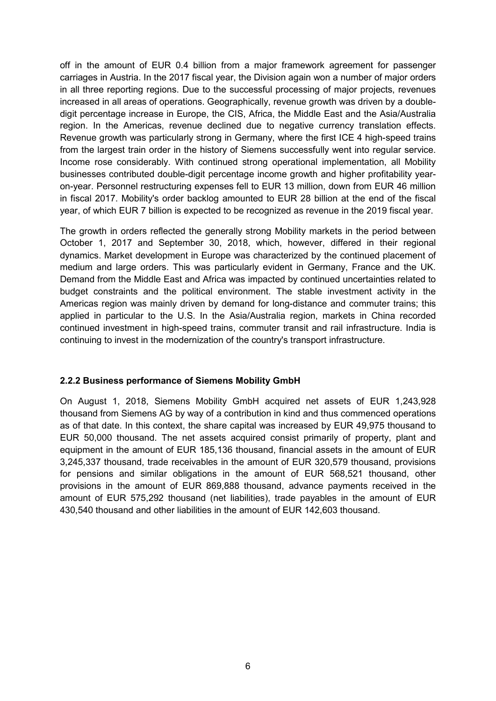off in the amount of EUR 0.4 billion from a major framework agreement for passenger carriages in Austria. In the 2017 fiscal year, the Division again won a number of major orders in all three reporting regions. Due to the successful processing of major projects, revenues increased in all areas of operations. Geographically, revenue growth was driven by a doubledigit percentage increase in Europe, the CIS, Africa, the Middle East and the Asia/Australia region. In the Americas, revenue declined due to negative currency translation effects. Revenue growth was particularly strong in Germany, where the first ICE 4 high-speed trains from the largest train order in the history of Siemens successfully went into regular service. Income rose considerably. With continued strong operational implementation, all Mobility businesses contributed double-digit percentage income growth and higher profitability yearon-year. Personnel restructuring expenses fell to EUR 13 million, down from EUR 46 million in fiscal 2017. Mobility's order backlog amounted to EUR 28 billion at the end of the fiscal year, of which EUR 7 billion is expected to be recognized as revenue in the 2019 fiscal year.

The growth in orders reflected the generally strong Mobility markets in the period between October 1, 2017 and September 30, 2018, which, however, differed in their regional dynamics. Market development in Europe was characterized by the continued placement of medium and large orders. This was particularly evident in Germany, France and the UK. Demand from the Middle East and Africa was impacted by continued uncertainties related to budget constraints and the political environment. The stable investment activity in the Americas region was mainly driven by demand for long-distance and commuter trains; this applied in particular to the U.S. In the Asia/Australia region, markets in China recorded continued investment in high-speed trains, commuter transit and rail infrastructure. India is continuing to invest in the modernization of the country's transport infrastructure.

#### **2.2.2 Business performance of Siemens Mobility GmbH**

On August 1, 2018, Siemens Mobility GmbH acquired net assets of EUR 1,243,928 thousand from Siemens AG by way of a contribution in kind and thus commenced operations as of that date. In this context, the share capital was increased by EUR 49,975 thousand to EUR 50,000 thousand. The net assets acquired consist primarily of property, plant and equipment in the amount of EUR 185,136 thousand, financial assets in the amount of EUR 3,245,337 thousand, trade receivables in the amount of EUR 320,579 thousand, provisions for pensions and similar obligations in the amount of EUR 568,521 thousand, other provisions in the amount of EUR 869,888 thousand, advance payments received in the amount of EUR 575,292 thousand (net liabilities), trade payables in the amount of EUR 430,540 thousand and other liabilities in the amount of EUR 142,603 thousand.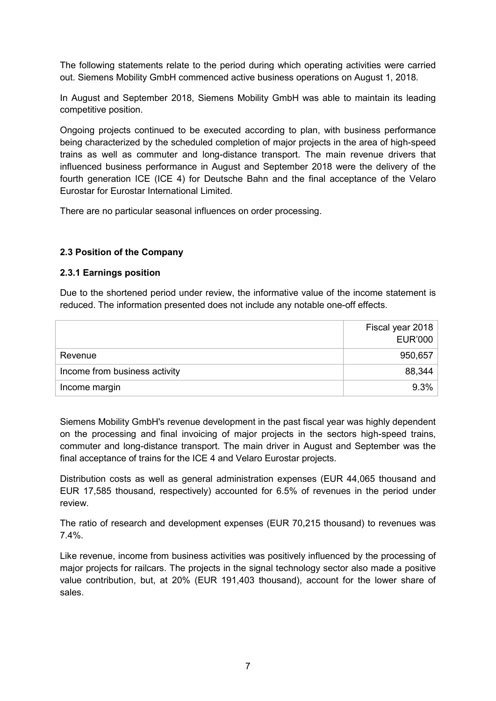The following statements relate to the period during which operating activities were carried out. Siemens Mobility GmbH commenced active business operations on August 1, 2018.

In August and September 2018, Siemens Mobility GmbH was able to maintain its leading competitive position.

Ongoing projects continued to be executed according to plan, with business performance being characterized by the scheduled completion of major projects in the area of high-speed trains as well as commuter and long-distance transport. The main revenue drivers that influenced business performance in August and September 2018 were the delivery of the fourth generation ICE (ICE 4) for Deutsche Bahn and the final acceptance of the Velaro Eurostar for Eurostar International Limited.

There are no particular seasonal influences on order processing.

# **2.3 Position of the Company**

#### **2.3.1 Earnings position**

Due to the shortened period under review, the informative value of the income statement is reduced. The information presented does not include any notable one-off effects.

|                               | Fiscal year 2018 |
|-------------------------------|------------------|
|                               | <b>EUR'000</b>   |
| Revenue                       | 950,657          |
| Income from business activity | 88,344           |
| Income margin                 | $9.3\%$          |

Siemens Mobility GmbH's revenue development in the past fiscal year was highly dependent on the processing and final invoicing of major projects in the sectors high-speed trains, commuter and long-distance transport. The main driver in August and September was the final acceptance of trains for the ICE 4 and Velaro Eurostar projects.

Distribution costs as well as general administration expenses (EUR 44,065 thousand and EUR 17,585 thousand, respectively) accounted for 6.5% of revenues in the period under review.

The ratio of research and development expenses (EUR 70,215 thousand) to revenues was 7.4%.

Like revenue, income from business activities was positively influenced by the processing of major projects for railcars. The projects in the signal technology sector also made a positive value contribution, but, at 20% (EUR 191,403 thousand), account for the lower share of sales.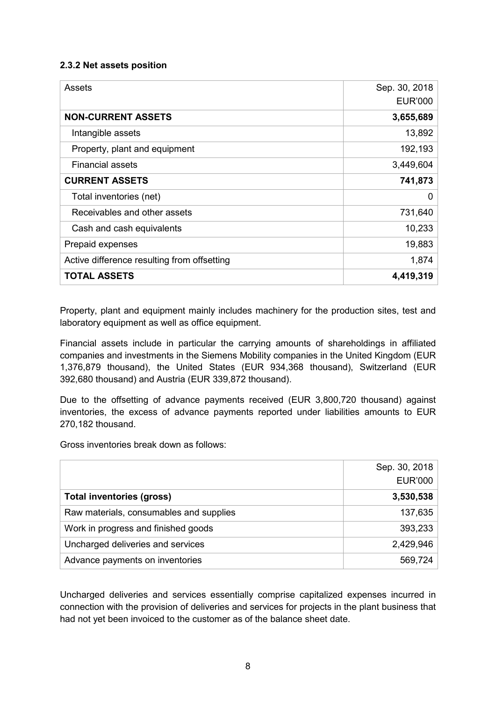# **2.3.2 Net assets position**

| Assets                                      | Sep. 30, 2018  |
|---------------------------------------------|----------------|
|                                             | <b>EUR'000</b> |
| <b>NON-CURRENT ASSETS</b>                   | 3,655,689      |
| Intangible assets                           | 13,892         |
| Property, plant and equipment               | 192,193        |
| <b>Financial assets</b>                     | 3,449,604      |
| <b>CURRENT ASSETS</b>                       | 741,873        |
| Total inventories (net)                     | 0              |
| Receivables and other assets                | 731,640        |
| Cash and cash equivalents                   | 10,233         |
| Prepaid expenses                            | 19,883         |
| Active difference resulting from offsetting | 1,874          |
| <b>TOTAL ASSETS</b>                         | 4,419,319      |

Property, plant and equipment mainly includes machinery for the production sites, test and laboratory equipment as well as office equipment.

Financial assets include in particular the carrying amounts of shareholdings in affiliated companies and investments in the Siemens Mobility companies in the United Kingdom (EUR 1,376,879 thousand), the United States (EUR 934,368 thousand), Switzerland (EUR 392,680 thousand) and Austria (EUR 339,872 thousand).

Due to the offsetting of advance payments received (EUR 3,800,720 thousand) against inventories, the excess of advance payments reported under liabilities amounts to EUR 270,182 thousand.

Gross inventories break down as follows:

|                                         | Sep. 30, 2018  |
|-----------------------------------------|----------------|
|                                         | <b>EUR'000</b> |
| <b>Total inventories (gross)</b>        | 3,530,538      |
| Raw materials, consumables and supplies | 137,635        |
| Work in progress and finished goods     | 393,233        |
| Uncharged deliveries and services       | 2,429,946      |
| Advance payments on inventories         | 569,724        |

Uncharged deliveries and services essentially comprise capitalized expenses incurred in connection with the provision of deliveries and services for projects in the plant business that had not yet been invoiced to the customer as of the balance sheet date.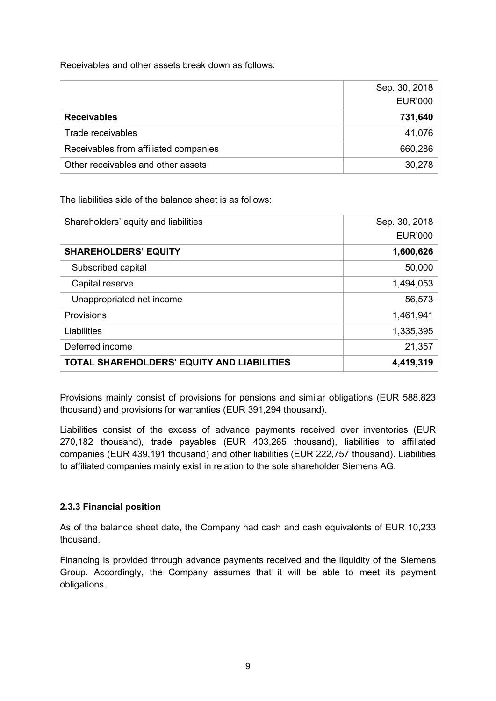Receivables and other assets break down as follows:

|                                       | Sep. 30, 2018  |
|---------------------------------------|----------------|
|                                       | <b>EUR'000</b> |
| <b>Receivables</b>                    | 731,640        |
| Trade receivables                     | 41,076         |
| Receivables from affiliated companies | 660,286        |
| Other receivables and other assets    | 30,278         |

The liabilities side of the balance sheet is as follows:

| Shareholders' equity and liabilities       | Sep. 30, 2018  |
|--------------------------------------------|----------------|
|                                            | <b>EUR'000</b> |
| <b>SHAREHOLDERS' EQUITY</b>                | 1,600,626      |
| Subscribed capital                         | 50,000         |
| Capital reserve                            | 1,494,053      |
| Unappropriated net income                  | 56,573         |
| <b>Provisions</b>                          | 1,461,941      |
| Liabilities                                | 1,335,395      |
| Deferred income                            | 21,357         |
| TOTAL SHAREHOLDERS' EQUITY AND LIABILITIES | 4,419,319      |

Provisions mainly consist of provisions for pensions and similar obligations (EUR 588,823 thousand) and provisions for warranties (EUR 391,294 thousand).

Liabilities consist of the excess of advance payments received over inventories (EUR 270,182 thousand), trade payables (EUR 403,265 thousand), liabilities to affiliated companies (EUR 439,191 thousand) and other liabilities (EUR 222,757 thousand). Liabilities to affiliated companies mainly exist in relation to the sole shareholder Siemens AG.

# **2.3.3 Financial position**

As of the balance sheet date, the Company had cash and cash equivalents of EUR 10,233 thousand.

Financing is provided through advance payments received and the liquidity of the Siemens Group. Accordingly, the Company assumes that it will be able to meet its payment obligations.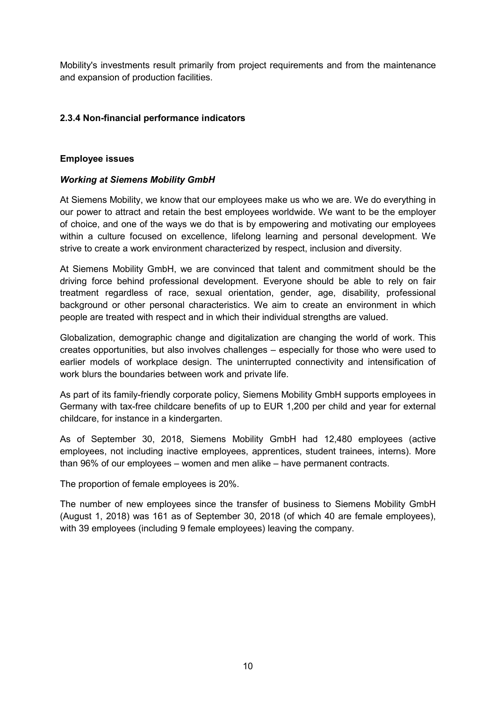Mobility's investments result primarily from project requirements and from the maintenance and expansion of production facilities.

# **2.3.4 Non-financial performance indicators**

#### **Employee issues**

#### *Working at Siemens Mobility GmbH*

At Siemens Mobility, we know that our employees make us who we are. We do everything in our power to attract and retain the best employees worldwide. We want to be the employer of choice, and one of the ways we do that is by empowering and motivating our employees within a culture focused on excellence, lifelong learning and personal development. We strive to create a work environment characterized by respect, inclusion and diversity.

At Siemens Mobility GmbH, we are convinced that talent and commitment should be the driving force behind professional development. Everyone should be able to rely on fair treatment regardless of race, sexual orientation, gender, age, disability, professional background or other personal characteristics. We aim to create an environment in which people are treated with respect and in which their individual strengths are valued.

Globalization, demographic change and digitalization are changing the world of work. This creates opportunities, but also involves challenges – especially for those who were used to earlier models of workplace design. The uninterrupted connectivity and intensification of work blurs the boundaries between work and private life.

As part of its family-friendly corporate policy, Siemens Mobility GmbH supports employees in Germany with tax-free childcare benefits of up to EUR 1,200 per child and year for external childcare, for instance in a kindergarten.

As of September 30, 2018, Siemens Mobility GmbH had 12,480 employees (active employees, not including inactive employees, apprentices, student trainees, interns). More than 96% of our employees – women and men alike – have permanent contracts.

The proportion of female employees is 20%.

The number of new employees since the transfer of business to Siemens Mobility GmbH (August 1, 2018) was 161 as of September 30, 2018 (of which 40 are female employees), with 39 employees (including 9 female employees) leaving the company.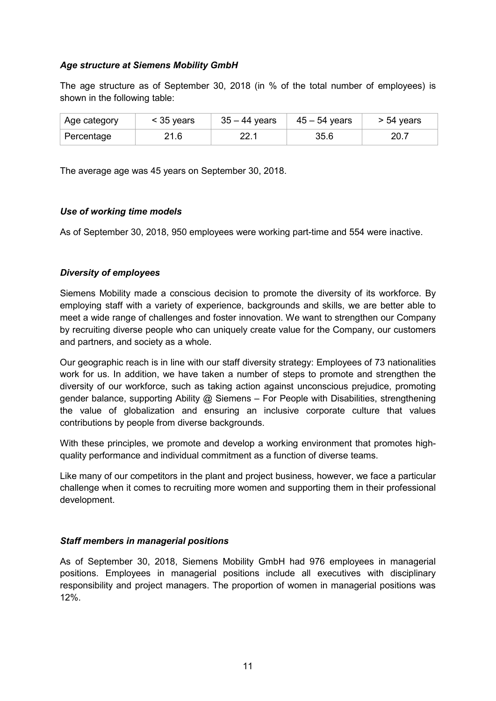### *Age structure at Siemens Mobility GmbH*

The age structure as of September 30, 2018 (in % of the total number of employees) is shown in the following table:

| Age category | $<$ 35 years | 35 – 44 years | $45 - 54$ years | $> 54$ years |
|--------------|--------------|---------------|-----------------|--------------|
| Percentage   | 21.6         | າາ 1          | 35.6            | 20.7         |

The average age was 45 years on September 30, 2018.

#### *Use of working time models*

As of September 30, 2018, 950 employees were working part-time and 554 were inactive.

# *Diversity of employees*

Siemens Mobility made a conscious decision to promote the diversity of its workforce. By employing staff with a variety of experience, backgrounds and skills, we are better able to meet a wide range of challenges and foster innovation. We want to strengthen our Company by recruiting diverse people who can uniquely create value for the Company, our customers and partners, and society as a whole.

Our geographic reach is in line with our staff diversity strategy: Employees of 73 nationalities work for us. In addition, we have taken a number of steps to promote and strengthen the diversity of our workforce, such as taking action against unconscious prejudice, promoting gender balance, supporting Ability @ Siemens - For People with Disabilities, strengthening the value of globalization and ensuring an inclusive corporate culture that values contributions by people from diverse backgrounds.

With these principles, we promote and develop a working environment that promotes highquality performance and individual commitment as a function of diverse teams.

Like many of our competitors in the plant and project business, however, we face a particular challenge when it comes to recruiting more women and supporting them in their professional development.

#### *Staff members in managerial positions*

As of September 30, 2018, Siemens Mobility GmbH had 976 employees in managerial positions. Employees in managerial positions include all executives with disciplinary responsibility and project managers. The proportion of women in managerial positions was 12%.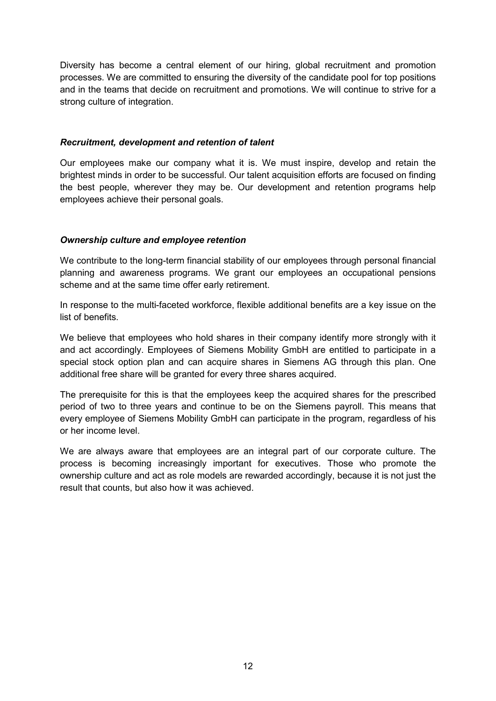Diversity has become a central element of our hiring, global recruitment and promotion processes. We are committed to ensuring the diversity of the candidate pool for top positions and in the teams that decide on recruitment and promotions. We will continue to strive for a strong culture of integration.

#### *Recruitment, development and retention of talent*

Our employees make our company what it is. We must inspire, develop and retain the brightest minds in order to be successful. Our talent acquisition efforts are focused on finding the best people, wherever they may be. Our development and retention programs help employees achieve their personal goals.

#### *Ownership culture and employee retention*

We contribute to the long-term financial stability of our employees through personal financial planning and awareness programs. We grant our employees an occupational pensions scheme and at the same time offer early retirement.

In response to the multi-faceted workforce, flexible additional benefits are a key issue on the list of benefits.

We believe that employees who hold shares in their company identify more strongly with it and act accordingly. Employees of Siemens Mobility GmbH are entitled to participate in a special stock option plan and can acquire shares in Siemens AG through this plan. One additional free share will be granted for every three shares acquired.

The prerequisite for this is that the employees keep the acquired shares for the prescribed period of two to three years and continue to be on the Siemens payroll. This means that every employee of Siemens Mobility GmbH can participate in the program, regardless of his or her income level.

We are always aware that employees are an integral part of our corporate culture. The process is becoming increasingly important for executives. Those who promote the ownership culture and act as role models are rewarded accordingly, because it is not just the result that counts, but also how it was achieved.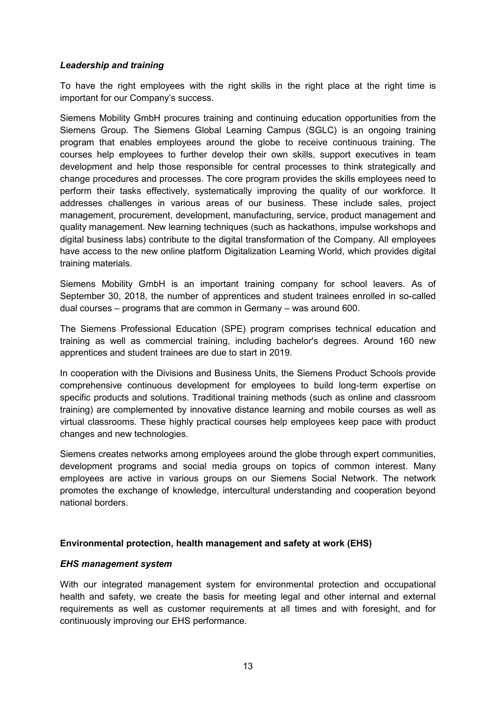# *Leadership and training*

To have the right employees with the right skills in the right place at the right time is important for our Company's success.

Siemens Mobility GmbH procures training and continuing education opportunities from the Siemens Group. The Siemens Global Learning Campus (SGLC) is an ongoing training program that enables employees around the globe to receive continuous training. The courses help employees to further develop their own skills, support executives in team development and help those responsible for central processes to think strategically and change procedures and processes. The core program provides the skills employees need to perform their tasks effectively, systematically improving the quality of our workforce. It addresses challenges in various areas of our business. These include sales, project management, procurement, development, manufacturing, service, product management and quality management. New learning techniques (such as hackathons, impulse workshops and digital business labs) contribute to the digital transformation of the Company. All employees have access to the new online platform Digitalization Learning World, which provides digital training materials.

Siemens Mobility GmbH is an important training company for school leavers. As of September 30, 2018, the number of apprentices and student trainees enrolled in so-called dual courses – programs that are common in Germany – was around 600.

The Siemens Professional Education (SPE) program comprises technical education and training as well as commercial training, including bachelor's degrees. Around 160 new apprentices and student trainees are due to start in 2019.

In cooperation with the Divisions and Business Units, the Siemens Product Schools provide comprehensive continuous development for employees to build long-term expertise on specific products and solutions. Traditional training methods (such as online and classroom training) are complemented by innovative distance learning and mobile courses as well as virtual classrooms. These highly practical courses help employees keep pace with product changes and new technologies.

Siemens creates networks among employees around the globe through expert communities, development programs and social media groups on topics of common interest. Many employees are active in various groups on our Siemens Social Network. The network promotes the exchange of knowledge, intercultural understanding and cooperation beyond national borders.

# **Environmental protection, health management and safety at work (EHS)**

#### *EHS management system*

With our integrated management system for environmental protection and occupational health and safety, we create the basis for meeting legal and other internal and external requirements as well as customer requirements at all times and with foresight, and for continuously improving our EHS performance.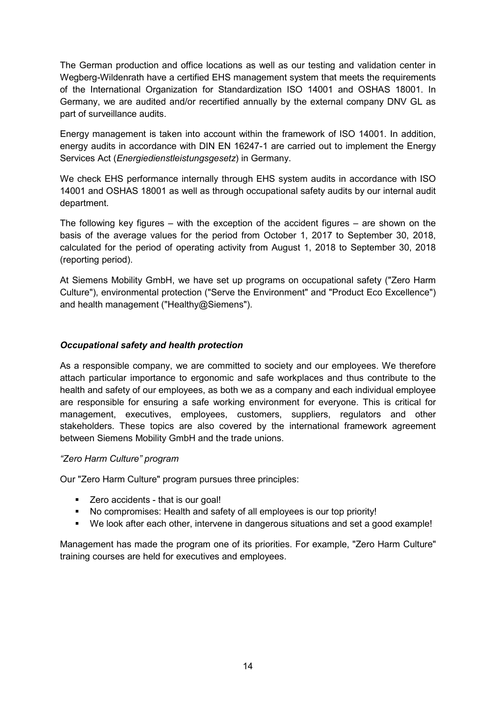The German production and office locations as well as our testing and validation center in Wegberg-Wildenrath have a certified EHS management system that meets the requirements of the International Organization for Standardization ISO 14001 and OSHAS 18001. In Germany, we are audited and/or recertified annually by the external company DNV GL as part of surveillance audits.

Energy management is taken into account within the framework of ISO 14001. In addition, energy audits in accordance with DIN EN 16247-1 are carried out to implement the Energy Services Act (*Energiedienstleistungsgesetz*) in Germany.

We check EHS performance internally through EHS system audits in accordance with ISO 14001 and OSHAS 18001 as well as through occupational safety audits by our internal audit department.

The following key figures – with the exception of the accident figures – are shown on the basis of the average values for the period from October 1, 2017 to September 30, 2018, calculated for the period of operating activity from August 1, 2018 to September 30, 2018 (reporting period).

At Siemens Mobility GmbH, we have set up programs on occupational safety ("Zero Harm Culture"), environmental protection ("Serve the Environment" and "Product Eco Excellence") and health management ("Healthy@Siemens").

# *Occupational safety and health protection*

As a responsible company, we are committed to society and our employees. We therefore attach particular importance to ergonomic and safe workplaces and thus contribute to the health and safety of our employees, as both we as a company and each individual employee are responsible for ensuring a safe working environment for everyone. This is critical for management, executives, employees, customers, suppliers, regulators and other stakeholders. These topics are also covered by the international framework agreement between Siemens Mobility GmbH and the trade unions.

#### *"Zero Harm Culture" program*

Our "Zero Harm Culture" program pursues three principles:

- Zero accidents that is our goal!
- No compromises: Health and safety of all employees is our top priority!
- We look after each other, intervene in dangerous situations and set a good example!

Management has made the program one of its priorities. For example, "Zero Harm Culture" training courses are held for executives and employees.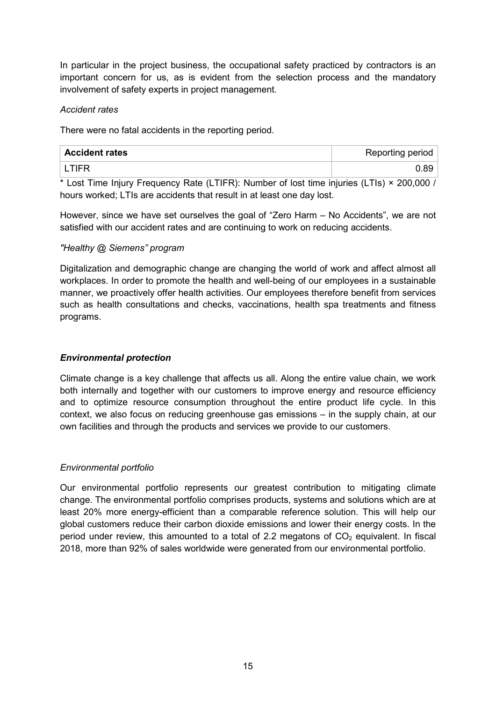In particular in the project business, the occupational safety practiced by contractors is an important concern for us, as is evident from the selection process and the mandatory involvement of safety experts in project management.

# *Accident rates*

There were no fatal accidents in the reporting period.

| <b>Accident rates</b> | <b>Reporting period</b> |
|-----------------------|-------------------------|
| I TIFR                | 0.89                    |

\* Lost Time Injury Frequency Rate (LTIFR): Number of lost time injuries (LTIs) × 200,000 / hours worked; LTIs are accidents that result in at least one day lost.

However, since we have set ourselves the goal of "Zero Harm – No Accidents", we are not satisfied with our accident rates and are continuing to work on reducing accidents.

# *"Healthy @ Siemens" program*

Digitalization and demographic change are changing the world of work and affect almost all workplaces. In order to promote the health and well-being of our employees in a sustainable manner, we proactively offer health activities. Our employees therefore benefit from services such as health consultations and checks, vaccinations, health spa treatments and fitness programs.

# *Environmental protection*

Climate change is a key challenge that affects us all. Along the entire value chain, we work both internally and together with our customers to improve energy and resource efficiency and to optimize resource consumption throughout the entire product life cycle. In this context, we also focus on reducing greenhouse gas emissions – in the supply chain, at our own facilities and through the products and services we provide to our customers.

# *Environmental portfolio*

Our environmental portfolio represents our greatest contribution to mitigating climate change. The environmental portfolio comprises products, systems and solutions which are at least 20% more energy-efficient than a comparable reference solution. This will help our global customers reduce their carbon dioxide emissions and lower their energy costs. In the period under review, this amounted to a total of 2.2 megatons of  $CO<sub>2</sub>$  equivalent. In fiscal 2018, more than 92% of sales worldwide were generated from our environmental portfolio.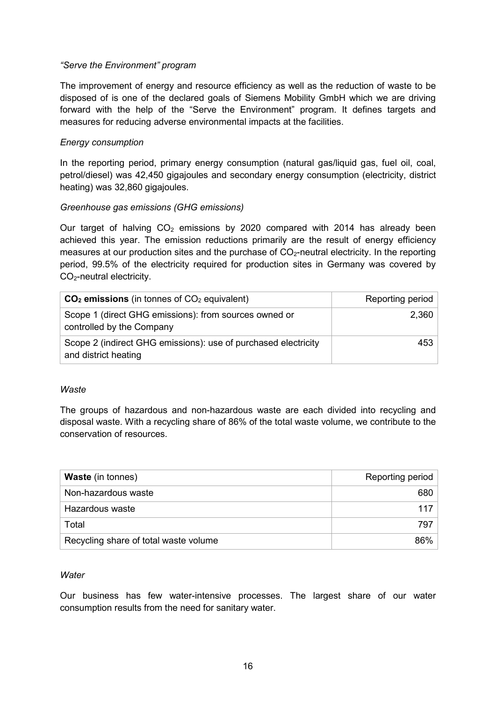#### *"Serve the Environment" program*

The improvement of energy and resource efficiency as well as the reduction of waste to be disposed of is one of the declared goals of Siemens Mobility GmbH which we are driving forward with the help of the "Serve the Environment" program. It defines targets and measures for reducing adverse environmental impacts at the facilities.

### *Energy consumption*

In the reporting period, primary energy consumption (natural gas/liquid gas, fuel oil, coal, petrol/diesel) was 42,450 gigajoules and secondary energy consumption (electricity, district heating) was 32,860 gigajoules.

# *Greenhouse gas emissions (GHG emissions)*

Our target of halving  $CO<sub>2</sub>$  emissions by 2020 compared with 2014 has already been achieved this year. The emission reductions primarily are the result of energy efficiency measures at our production sites and the purchase of  $CO<sub>2</sub>$ -neutral electricity. In the reporting period, 99.5% of the electricity required for production sites in Germany was covered by CO2-neutral electricity.

| $CO2$ emissions (in tonnes of $CO2$ equivalent)                                        | Reporting period |
|----------------------------------------------------------------------------------------|------------------|
| Scope 1 (direct GHG emissions): from sources owned or<br>controlled by the Company     | 2,360            |
| Scope 2 (indirect GHG emissions): use of purchased electricity<br>and district heating | 453              |

#### *Waste*

The groups of hazardous and non-hazardous waste are each divided into recycling and disposal waste. With a recycling share of 86% of the total waste volume, we contribute to the conservation of resources.

| <b>Waste</b> (in tonnes)              | Reporting period |
|---------------------------------------|------------------|
| Non-hazardous waste                   | 680              |
| Hazardous waste                       | 117              |
| Total                                 | 797              |
| Recycling share of total waste volume | 86%              |

#### *Water*

Our business has few water-intensive processes. The largest share of our water consumption results from the need for sanitary water.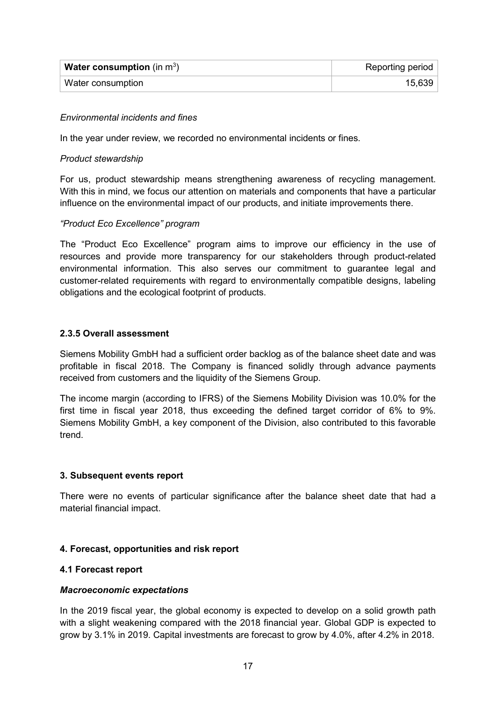| <b>Water consumption</b> (in $m^3$ ) | Reporting period |
|--------------------------------------|------------------|
| Water consumption                    | 15,639           |

### *Environmental incidents and fines*

In the year under review, we recorded no environmental incidents or fines.

#### *Product stewardship*

For us, product stewardship means strengthening awareness of recycling management. With this in mind, we focus our attention on materials and components that have a particular influence on the environmental impact of our products, and initiate improvements there.

#### *"Product Eco Excellence" program*

The "Product Eco Excellence" program aims to improve our efficiency in the use of resources and provide more transparency for our stakeholders through product-related environmental information. This also serves our commitment to guarantee legal and customer-related requirements with regard to environmentally compatible designs, labeling obligations and the ecological footprint of products.

#### **2.3.5 Overall assessment**

Siemens Mobility GmbH had a sufficient order backlog as of the balance sheet date and was profitable in fiscal 2018. The Company is financed solidly through advance payments received from customers and the liquidity of the Siemens Group.

The income margin (according to IFRS) of the Siemens Mobility Division was 10.0% for the first time in fiscal year 2018, thus exceeding the defined target corridor of 6% to 9%. Siemens Mobility GmbH, a key component of the Division, also contributed to this favorable trend.

#### **3. Subsequent events report**

There were no events of particular significance after the balance sheet date that had a material financial impact.

#### **4. Forecast, opportunities and risk report**

#### **4.1 Forecast report**

#### *Macroeconomic expectations*

In the 2019 fiscal year, the global economy is expected to develop on a solid growth path with a slight weakening compared with the 2018 financial year. Global GDP is expected to grow by 3.1% in 2019. Capital investments are forecast to grow by 4.0%, after 4.2% in 2018.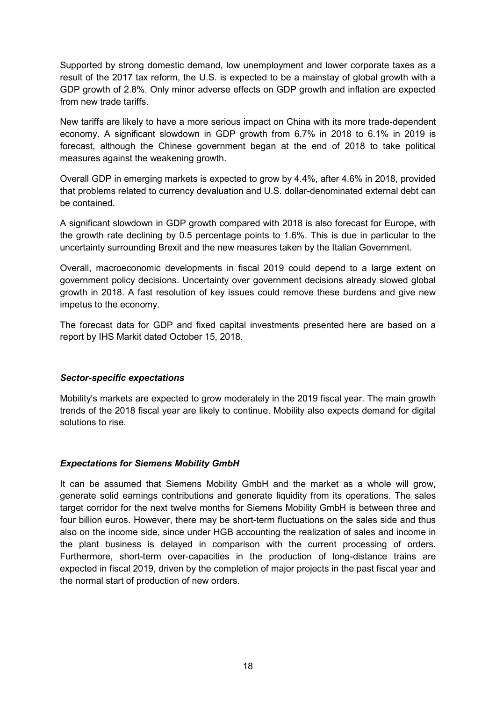Supported by strong domestic demand, low unemployment and lower corporate taxes as a result of the 2017 tax reform, the U.S. is expected to be a mainstay of global growth with a GDP growth of 2.8%. Only minor adverse effects on GDP growth and inflation are expected from new trade tariffs.

New tariffs are likely to have a more serious impact on China with its more trade-dependent economy. A significant slowdown in GDP growth from 6.7% in 2018 to 6.1% in 2019 is forecast, although the Chinese government began at the end of 2018 to take political measures against the weakening growth.

Overall GDP in emerging markets is expected to grow by 4.4%, after 4.6% in 2018, provided that problems related to currency devaluation and U.S. dollar-denominated external debt can be contained.

A significant slowdown in GDP growth compared with 2018 is also forecast for Europe, with the growth rate declining by 0.5 percentage points to 1.6%. This is due in particular to the uncertainty surrounding Brexit and the new measures taken by the Italian Government.

Overall, macroeconomic developments in fiscal 2019 could depend to a large extent on government policy decisions. Uncertainty over government decisions already slowed global growth in 2018. A fast resolution of key issues could remove these burdens and give new impetus to the economy.

The forecast data for GDP and fixed capital investments presented here are based on a report by IHS Markit dated October 15, 2018.

# *Sector-specific expectations*

Mobility's markets are expected to grow moderately in the 2019 fiscal year. The main growth trends of the 2018 fiscal year are likely to continue. Mobility also expects demand for digital solutions to rise.

#### *Expectations for Siemens Mobility GmbH*

It can be assumed that Siemens Mobility GmbH and the market as a whole will grow, generate solid earnings contributions and generate liquidity from its operations. The sales target corridor for the next twelve months for Siemens Mobility GmbH is between three and four billion euros. However, there may be short-term fluctuations on the sales side and thus also on the income side, since under HGB accounting the realization of sales and income in the plant business is delayed in comparison with the current processing of orders. Furthermore, short-term over-capacities in the production of long-distance trains are expected in fiscal 2019, driven by the completion of major projects in the past fiscal year and the normal start of production of new orders.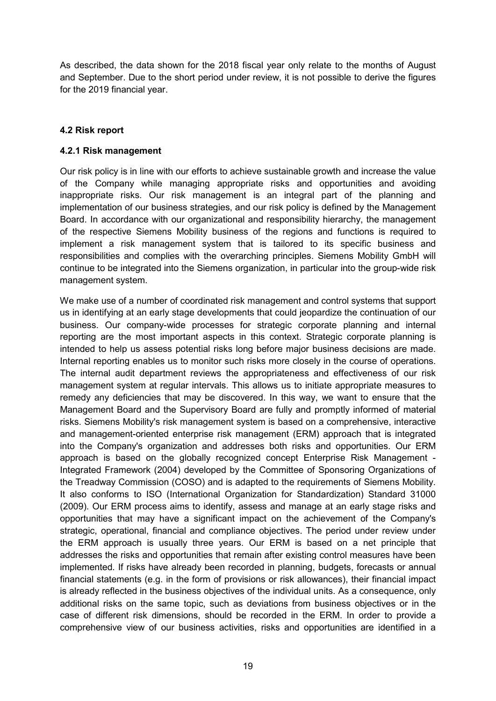As described, the data shown for the 2018 fiscal year only relate to the months of August and September. Due to the short period under review, it is not possible to derive the figures for the 2019 financial year.

# **4.2 Risk report**

#### **4.2.1 Risk management**

Our risk policy is in line with our efforts to achieve sustainable growth and increase the value of the Company while managing appropriate risks and opportunities and avoiding inappropriate risks. Our risk management is an integral part of the planning and implementation of our business strategies, and our risk policy is defined by the Management Board. In accordance with our organizational and responsibility hierarchy, the management of the respective Siemens Mobility business of the regions and functions is required to implement a risk management system that is tailored to its specific business and responsibilities and complies with the overarching principles. Siemens Mobility GmbH will continue to be integrated into the Siemens organization, in particular into the group-wide risk management system.

We make use of a number of coordinated risk management and control systems that support us in identifying at an early stage developments that could jeopardize the continuation of our business. Our company-wide processes for strategic corporate planning and internal reporting are the most important aspects in this context. Strategic corporate planning is intended to help us assess potential risks long before major business decisions are made. Internal reporting enables us to monitor such risks more closely in the course of operations. The internal audit department reviews the appropriateness and effectiveness of our risk management system at regular intervals. This allows us to initiate appropriate measures to remedy any deficiencies that may be discovered. In this way, we want to ensure that the Management Board and the Supervisory Board are fully and promptly informed of material risks. Siemens Mobility's risk management system is based on a comprehensive, interactive and management-oriented enterprise risk management (ERM) approach that is integrated into the Company's organization and addresses both risks and opportunities. Our ERM approach is based on the globally recognized concept Enterprise Risk Management - Integrated Framework (2004) developed by the Committee of Sponsoring Organizations of the Treadway Commission (COSO) and is adapted to the requirements of Siemens Mobility. It also conforms to ISO (International Organization for Standardization) Standard 31000 (2009). Our ERM process aims to identify, assess and manage at an early stage risks and opportunities that may have a significant impact on the achievement of the Company's strategic, operational, financial and compliance objectives. The period under review under the ERM approach is usually three years. Our ERM is based on a net principle that addresses the risks and opportunities that remain after existing control measures have been implemented. If risks have already been recorded in planning, budgets, forecasts or annual financial statements (e.g. in the form of provisions or risk allowances), their financial impact is already reflected in the business objectives of the individual units. As a consequence, only additional risks on the same topic, such as deviations from business objectives or in the case of different risk dimensions, should be recorded in the ERM. In order to provide a comprehensive view of our business activities, risks and opportunities are identified in a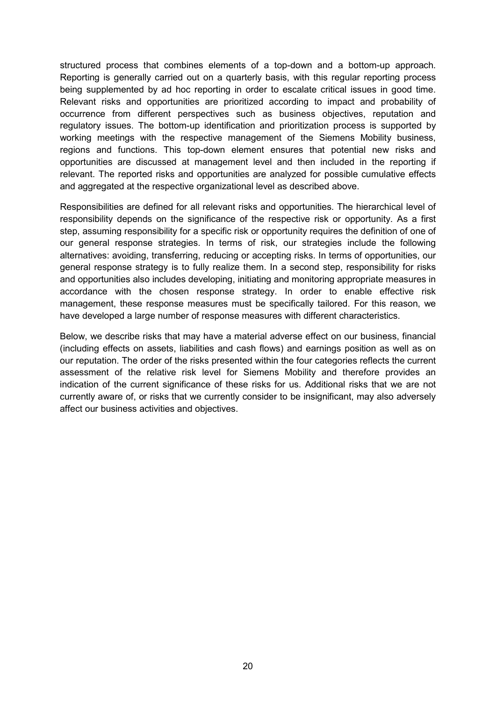structured process that combines elements of a top-down and a bottom-up approach. Reporting is generally carried out on a quarterly basis, with this regular reporting process being supplemented by ad hoc reporting in order to escalate critical issues in good time. Relevant risks and opportunities are prioritized according to impact and probability of occurrence from different perspectives such as business objectives, reputation and regulatory issues. The bottom-up identification and prioritization process is supported by working meetings with the respective management of the Siemens Mobility business, regions and functions. This top-down element ensures that potential new risks and opportunities are discussed at management level and then included in the reporting if relevant. The reported risks and opportunities are analyzed for possible cumulative effects and aggregated at the respective organizational level as described above.

Responsibilities are defined for all relevant risks and opportunities. The hierarchical level of responsibility depends on the significance of the respective risk or opportunity. As a first step, assuming responsibility for a specific risk or opportunity requires the definition of one of our general response strategies. In terms of risk, our strategies include the following alternatives: avoiding, transferring, reducing or accepting risks. In terms of opportunities, our general response strategy is to fully realize them. In a second step, responsibility for risks and opportunities also includes developing, initiating and monitoring appropriate measures in accordance with the chosen response strategy. In order to enable effective risk management, these response measures must be specifically tailored. For this reason, we have developed a large number of response measures with different characteristics.

Below, we describe risks that may have a material adverse effect on our business, financial (including effects on assets, liabilities and cash flows) and earnings position as well as on our reputation. The order of the risks presented within the four categories reflects the current assessment of the relative risk level for Siemens Mobility and therefore provides an indication of the current significance of these risks for us. Additional risks that we are not currently aware of, or risks that we currently consider to be insignificant, may also adversely affect our business activities and objectives.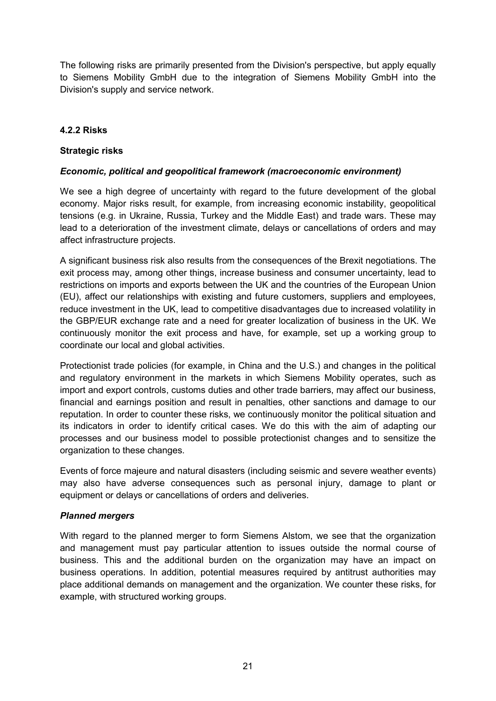The following risks are primarily presented from the Division's perspective, but apply equally to Siemens Mobility GmbH due to the integration of Siemens Mobility GmbH into the Division's supply and service network.

# **4.2.2 Risks**

### **Strategic risks**

# *Economic, political and geopolitical framework (macroeconomic environment)*

We see a high degree of uncertainty with regard to the future development of the global economy. Major risks result, for example, from increasing economic instability, geopolitical tensions (e.g. in Ukraine, Russia, Turkey and the Middle East) and trade wars. These may lead to a deterioration of the investment climate, delays or cancellations of orders and may affect infrastructure projects.

A significant business risk also results from the consequences of the Brexit negotiations. The exit process may, among other things, increase business and consumer uncertainty, lead to restrictions on imports and exports between the UK and the countries of the European Union (EU), affect our relationships with existing and future customers, suppliers and employees, reduce investment in the UK, lead to competitive disadvantages due to increased volatility in the GBP/EUR exchange rate and a need for greater localization of business in the UK. We continuously monitor the exit process and have, for example, set up a working group to coordinate our local and global activities.

Protectionist trade policies (for example, in China and the U.S.) and changes in the political and regulatory environment in the markets in which Siemens Mobility operates, such as import and export controls, customs duties and other trade barriers, may affect our business, financial and earnings position and result in penalties, other sanctions and damage to our reputation. In order to counter these risks, we continuously monitor the political situation and its indicators in order to identify critical cases. We do this with the aim of adapting our processes and our business model to possible protectionist changes and to sensitize the organization to these changes.

Events of force majeure and natural disasters (including seismic and severe weather events) may also have adverse consequences such as personal injury, damage to plant or equipment or delays or cancellations of orders and deliveries.

#### *Planned mergers*

With regard to the planned merger to form Siemens Alstom, we see that the organization and management must pay particular attention to issues outside the normal course of business. This and the additional burden on the organization may have an impact on business operations. In addition, potential measures required by antitrust authorities may place additional demands on management and the organization. We counter these risks, for example, with structured working groups.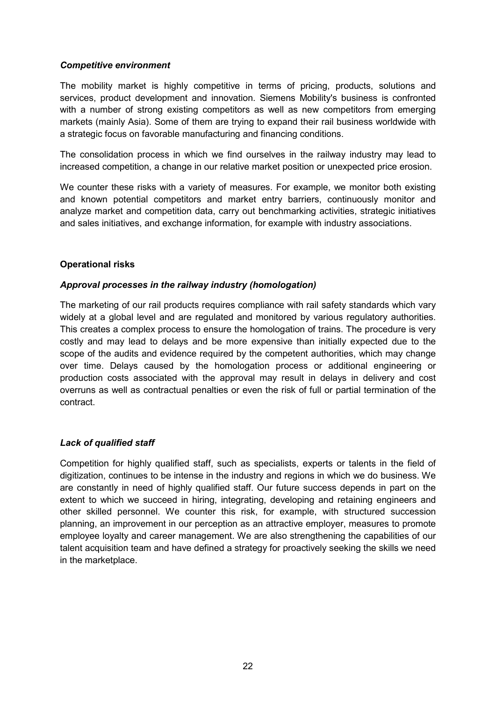#### *Competitive environment*

The mobility market is highly competitive in terms of pricing, products, solutions and services, product development and innovation. Siemens Mobility's business is confronted with a number of strong existing competitors as well as new competitors from emerging markets (mainly Asia). Some of them are trying to expand their rail business worldwide with a strategic focus on favorable manufacturing and financing conditions.

The consolidation process in which we find ourselves in the railway industry may lead to increased competition, a change in our relative market position or unexpected price erosion.

We counter these risks with a variety of measures. For example, we monitor both existing and known potential competitors and market entry barriers, continuously monitor and analyze market and competition data, carry out benchmarking activities, strategic initiatives and sales initiatives, and exchange information, for example with industry associations.

# **Operational risks**

# *Approval processes in the railway industry (homologation)*

The marketing of our rail products requires compliance with rail safety standards which vary widely at a global level and are regulated and monitored by various regulatory authorities. This creates a complex process to ensure the homologation of trains. The procedure is very costly and may lead to delays and be more expensive than initially expected due to the scope of the audits and evidence required by the competent authorities, which may change over time. Delays caused by the homologation process or additional engineering or production costs associated with the approval may result in delays in delivery and cost overruns as well as contractual penalties or even the risk of full or partial termination of the contract.

# *Lack of qualified staff*

Competition for highly qualified staff, such as specialists, experts or talents in the field of digitization, continues to be intense in the industry and regions in which we do business. We are constantly in need of highly qualified staff. Our future success depends in part on the extent to which we succeed in hiring, integrating, developing and retaining engineers and other skilled personnel. We counter this risk, for example, with structured succession planning, an improvement in our perception as an attractive employer, measures to promote employee loyalty and career management. We are also strengthening the capabilities of our talent acquisition team and have defined a strategy for proactively seeking the skills we need in the marketplace.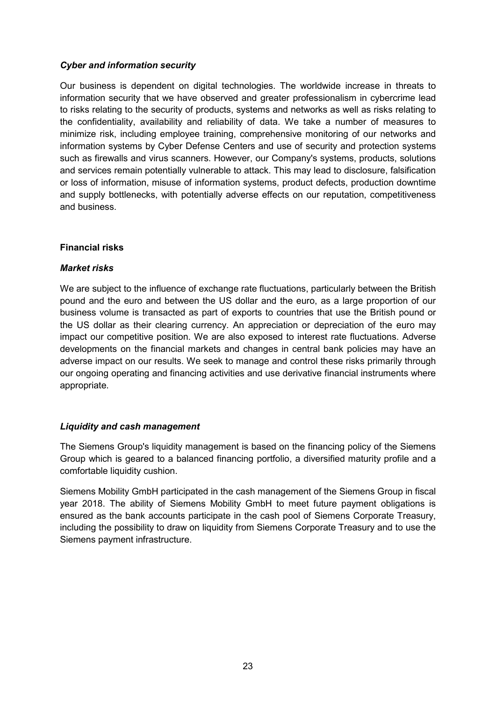# *Cyber and information security*

Our business is dependent on digital technologies. The worldwide increase in threats to information security that we have observed and greater professionalism in cybercrime lead to risks relating to the security of products, systems and networks as well as risks relating to the confidentiality, availability and reliability of data. We take a number of measures to minimize risk, including employee training, comprehensive monitoring of our networks and information systems by Cyber Defense Centers and use of security and protection systems such as firewalls and virus scanners. However, our Company's systems, products, solutions and services remain potentially vulnerable to attack. This may lead to disclosure, falsification or loss of information, misuse of information systems, product defects, production downtime and supply bottlenecks, with potentially adverse effects on our reputation, competitiveness and business.

# **Financial risks**

#### *Market risks*

We are subject to the influence of exchange rate fluctuations, particularly between the British pound and the euro and between the US dollar and the euro, as a large proportion of our business volume is transacted as part of exports to countries that use the British pound or the US dollar as their clearing currency. An appreciation or depreciation of the euro may impact our competitive position. We are also exposed to interest rate fluctuations. Adverse developments on the financial markets and changes in central bank policies may have an adverse impact on our results. We seek to manage and control these risks primarily through our ongoing operating and financing activities and use derivative financial instruments where appropriate.

#### *Liquidity and cash management*

The Siemens Group's liquidity management is based on the financing policy of the Siemens Group which is geared to a balanced financing portfolio, a diversified maturity profile and a comfortable liquidity cushion.

Siemens Mobility GmbH participated in the cash management of the Siemens Group in fiscal year 2018. The ability of Siemens Mobility GmbH to meet future payment obligations is ensured as the bank accounts participate in the cash pool of Siemens Corporate Treasury, including the possibility to draw on liquidity from Siemens Corporate Treasury and to use the Siemens payment infrastructure.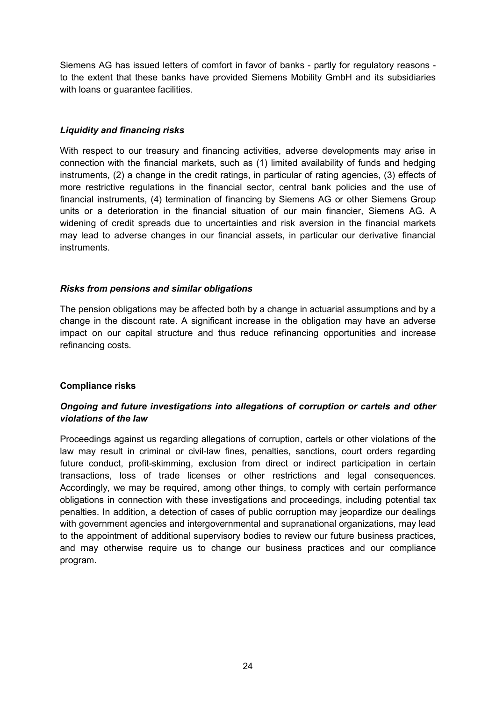Siemens AG has issued letters of comfort in favor of banks - partly for regulatory reasons to the extent that these banks have provided Siemens Mobility GmbH and its subsidiaries with loans or quarantee facilities.

# *Liquidity and financing risks*

With respect to our treasury and financing activities, adverse developments may arise in connection with the financial markets, such as (1) limited availability of funds and hedging instruments, (2) a change in the credit ratings, in particular of rating agencies, (3) effects of more restrictive regulations in the financial sector, central bank policies and the use of financial instruments, (4) termination of financing by Siemens AG or other Siemens Group units or a deterioration in the financial situation of our main financier, Siemens AG. A widening of credit spreads due to uncertainties and risk aversion in the financial markets may lead to adverse changes in our financial assets, in particular our derivative financial instruments.

# *Risks from pensions and similar obligations*

The pension obligations may be affected both by a change in actuarial assumptions and by a change in the discount rate. A significant increase in the obligation may have an adverse impact on our capital structure and thus reduce refinancing opportunities and increase refinancing costs.

# **Compliance risks**

# *Ongoing and future investigations into allegations of corruption or cartels and other violations of the law*

Proceedings against us regarding allegations of corruption, cartels or other violations of the law may result in criminal or civil-law fines, penalties, sanctions, court orders regarding future conduct, profit-skimming, exclusion from direct or indirect participation in certain transactions, loss of trade licenses or other restrictions and legal consequences. Accordingly, we may be required, among other things, to comply with certain performance obligations in connection with these investigations and proceedings, including potential tax penalties. In addition, a detection of cases of public corruption may jeopardize our dealings with government agencies and intergovernmental and supranational organizations, may lead to the appointment of additional supervisory bodies to review our future business practices, and may otherwise require us to change our business practices and our compliance program.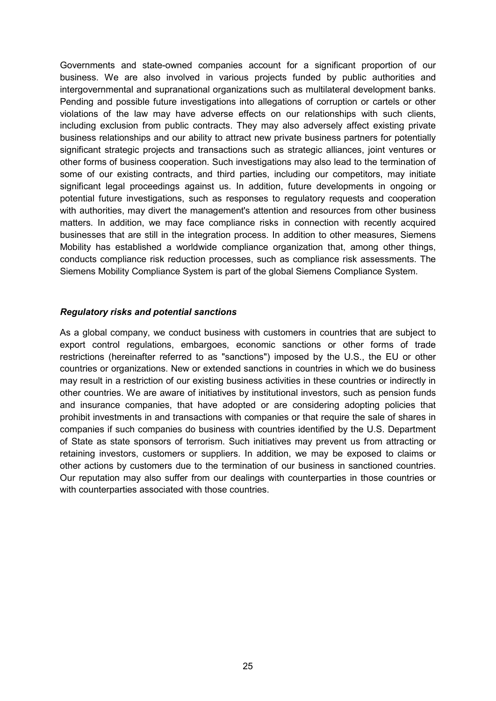Governments and state-owned companies account for a significant proportion of our business. We are also involved in various projects funded by public authorities and intergovernmental and supranational organizations such as multilateral development banks. Pending and possible future investigations into allegations of corruption or cartels or other violations of the law may have adverse effects on our relationships with such clients, including exclusion from public contracts. They may also adversely affect existing private business relationships and our ability to attract new private business partners for potentially significant strategic projects and transactions such as strategic alliances, joint ventures or other forms of business cooperation. Such investigations may also lead to the termination of some of our existing contracts, and third parties, including our competitors, may initiate significant legal proceedings against us. In addition, future developments in ongoing or potential future investigations, such as responses to regulatory requests and cooperation with authorities, may divert the management's attention and resources from other business matters. In addition, we may face compliance risks in connection with recently acquired businesses that are still in the integration process. In addition to other measures, Siemens Mobility has established a worldwide compliance organization that, among other things, conducts compliance risk reduction processes, such as compliance risk assessments. The Siemens Mobility Compliance System is part of the global Siemens Compliance System.

#### *Regulatory risks and potential sanctions*

As a global company, we conduct business with customers in countries that are subject to export control regulations, embargoes, economic sanctions or other forms of trade restrictions (hereinafter referred to as "sanctions") imposed by the U.S., the EU or other countries or organizations. New or extended sanctions in countries in which we do business may result in a restriction of our existing business activities in these countries or indirectly in other countries. We are aware of initiatives by institutional investors, such as pension funds and insurance companies, that have adopted or are considering adopting policies that prohibit investments in and transactions with companies or that require the sale of shares in companies if such companies do business with countries identified by the U.S. Department of State as state sponsors of terrorism. Such initiatives may prevent us from attracting or retaining investors, customers or suppliers. In addition, we may be exposed to claims or other actions by customers due to the termination of our business in sanctioned countries. Our reputation may also suffer from our dealings with counterparties in those countries or with counterparties associated with those countries.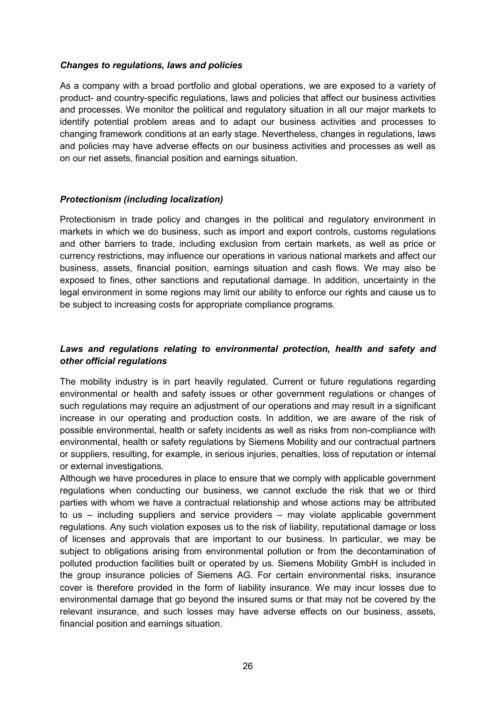#### *Changes to regulations, laws and policies*

As a company with a broad portfolio and global operations, we are exposed to a variety of product- and country-specific regulations, laws and policies that affect our business activities and processes. We monitor the political and regulatory situation in all our major markets to identify potential problem areas and to adapt our business activities and processes to changing framework conditions at an early stage. Nevertheless, changes in regulations, laws and policies may have adverse effects on our business activities and processes as well as on our net assets, financial position and earnings situation.

#### *Protectionism (including localization)*

Protectionism in trade policy and changes in the political and regulatory environment in markets in which we do business, such as import and export controls, customs regulations and other barriers to trade, including exclusion from certain markets, as well as price or currency restrictions, may influence our operations in various national markets and affect our business, assets, financial position, earnings situation and cash flows. We may also be exposed to fines, other sanctions and reputational damage. In addition, uncertainty in the legal environment in some regions may limit our ability to enforce our rights and cause us to be subject to increasing costs for appropriate compliance programs.

# *Laws and regulations relating to environmental protection, health and safety and other official regulations*

The mobility industry is in part heavily regulated. Current or future regulations regarding environmental or health and safety issues or other government regulations or changes of such regulations may require an adjustment of our operations and may result in a significant increase in our operating and production costs. In addition, we are aware of the risk of possible environmental, health or safety incidents as well as risks from non-compliance with environmental, health or safety regulations by Siemens Mobility and our contractual partners or suppliers, resulting, for example, in serious injuries, penalties, loss of reputation or internal or external investigations.

Although we have procedures in place to ensure that we comply with applicable government regulations when conducting our business, we cannot exclude the risk that we or third parties with whom we have a contractual relationship and whose actions may be attributed to us – including suppliers and service providers – may violate applicable government regulations. Any such violation exposes us to the risk of liability, reputational damage or loss of licenses and approvals that are important to our business. In particular, we may be subject to obligations arising from environmental pollution or from the decontamination of polluted production facilities built or operated by us. Siemens Mobility GmbH is included in the group insurance policies of Siemens AG. For certain environmental risks, insurance cover is therefore provided in the form of liability insurance. We may incur losses due to environmental damage that go beyond the insured sums or that may not be covered by the relevant insurance, and such losses may have adverse effects on our business, assets, financial position and earnings situation.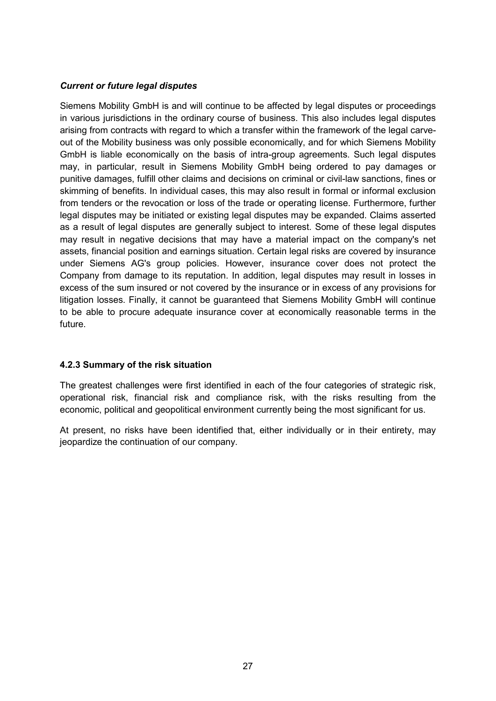# *Current or future legal disputes*

Siemens Mobility GmbH is and will continue to be affected by legal disputes or proceedings in various jurisdictions in the ordinary course of business. This also includes legal disputes arising from contracts with regard to which a transfer within the framework of the legal carveout of the Mobility business was only possible economically, and for which Siemens Mobility GmbH is liable economically on the basis of intra-group agreements. Such legal disputes may, in particular, result in Siemens Mobility GmbH being ordered to pay damages or punitive damages, fulfill other claims and decisions on criminal or civil-law sanctions, fines or skimming of benefits. In individual cases, this may also result in formal or informal exclusion from tenders or the revocation or loss of the trade or operating license. Furthermore, further legal disputes may be initiated or existing legal disputes may be expanded. Claims asserted as a result of legal disputes are generally subject to interest. Some of these legal disputes may result in negative decisions that may have a material impact on the company's net assets, financial position and earnings situation. Certain legal risks are covered by insurance under Siemens AG's group policies. However, insurance cover does not protect the Company from damage to its reputation. In addition, legal disputes may result in losses in excess of the sum insured or not covered by the insurance or in excess of any provisions for litigation losses. Finally, it cannot be guaranteed that Siemens Mobility GmbH will continue to be able to procure adequate insurance cover at economically reasonable terms in the future.

#### **4.2.3 Summary of the risk situation**

The greatest challenges were first identified in each of the four categories of strategic risk, operational risk, financial risk and compliance risk, with the risks resulting from the economic, political and geopolitical environment currently being the most significant for us.

At present, no risks have been identified that, either individually or in their entirety, may jeopardize the continuation of our company.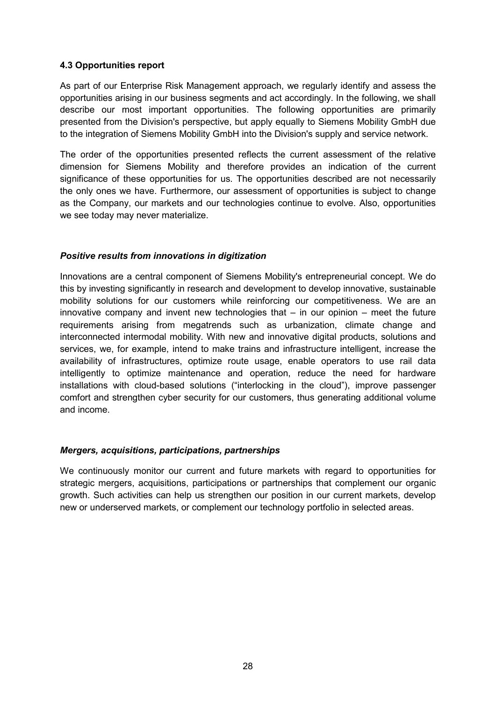# **4.3 Opportunities report**

As part of our Enterprise Risk Management approach, we regularly identify and assess the opportunities arising in our business segments and act accordingly. In the following, we shall describe our most important opportunities. The following opportunities are primarily presented from the Division's perspective, but apply equally to Siemens Mobility GmbH due to the integration of Siemens Mobility GmbH into the Division's supply and service network.

The order of the opportunities presented reflects the current assessment of the relative dimension for Siemens Mobility and therefore provides an indication of the current significance of these opportunities for us. The opportunities described are not necessarily the only ones we have. Furthermore, our assessment of opportunities is subject to change as the Company, our markets and our technologies continue to evolve. Also, opportunities we see today may never materialize.

# *Positive results from innovations in digitization*

Innovations are a central component of Siemens Mobility's entrepreneurial concept. We do this by investing significantly in research and development to develop innovative, sustainable mobility solutions for our customers while reinforcing our competitiveness. We are an innovative company and invent new technologies that  $-$  in our opinion  $-$  meet the future requirements arising from megatrends such as urbanization, climate change and interconnected intermodal mobility. With new and innovative digital products, solutions and services, we, for example, intend to make trains and infrastructure intelligent, increase the availability of infrastructures, optimize route usage, enable operators to use rail data intelligently to optimize maintenance and operation, reduce the need for hardware installations with cloud-based solutions ("interlocking in the cloud"), improve passenger comfort and strengthen cyber security for our customers, thus generating additional volume and income.

#### *Mergers, acquisitions, participations, partnerships*

We continuously monitor our current and future markets with regard to opportunities for strategic mergers, acquisitions, participations or partnerships that complement our organic growth. Such activities can help us strengthen our position in our current markets, develop new or underserved markets, or complement our technology portfolio in selected areas.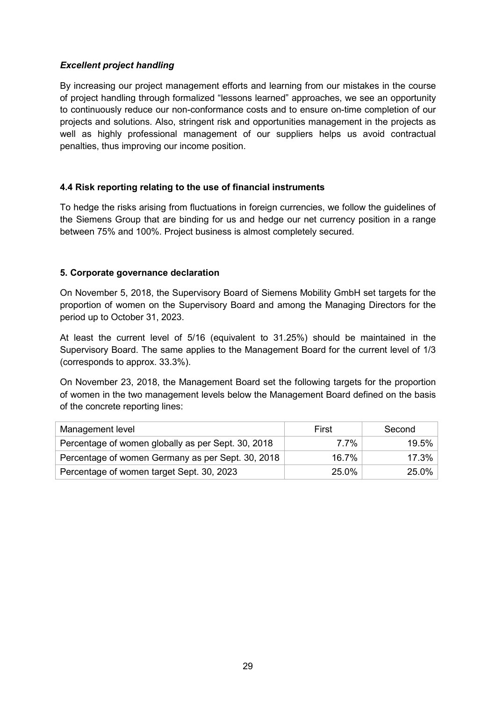# *Excellent project handling*

By increasing our project management efforts and learning from our mistakes in the course of project handling through formalized "lessons learned" approaches, we see an opportunity to continuously reduce our non-conformance costs and to ensure on-time completion of our projects and solutions. Also, stringent risk and opportunities management in the projects as well as highly professional management of our suppliers helps us avoid contractual penalties, thus improving our income position.

# **4.4 Risk reporting relating to the use of financial instruments**

To hedge the risks arising from fluctuations in foreign currencies, we follow the guidelines of the Siemens Group that are binding for us and hedge our net currency position in a range between 75% and 100%. Project business is almost completely secured.

# **5. Corporate governance declaration**

On November 5, 2018, the Supervisory Board of Siemens Mobility GmbH set targets for the proportion of women on the Supervisory Board and among the Managing Directors for the period up to October 31, 2023.

At least the current level of 5/16 (equivalent to 31.25%) should be maintained in the Supervisory Board. The same applies to the Management Board for the current level of 1/3 (corresponds to approx. 33.3%).

On November 23, 2018, the Management Board set the following targets for the proportion of women in the two management levels below the Management Board defined on the basis of the concrete reporting lines:

| Management level                                   | First | Second |
|----------------------------------------------------|-------|--------|
| Percentage of women globally as per Sept. 30, 2018 | 7 7%  | 19.5%  |
| Percentage of women Germany as per Sept. 30, 2018  | 16.7% | 17.3%  |
| Percentage of women target Sept. 30, 2023          | 25.0% | 25.0%  |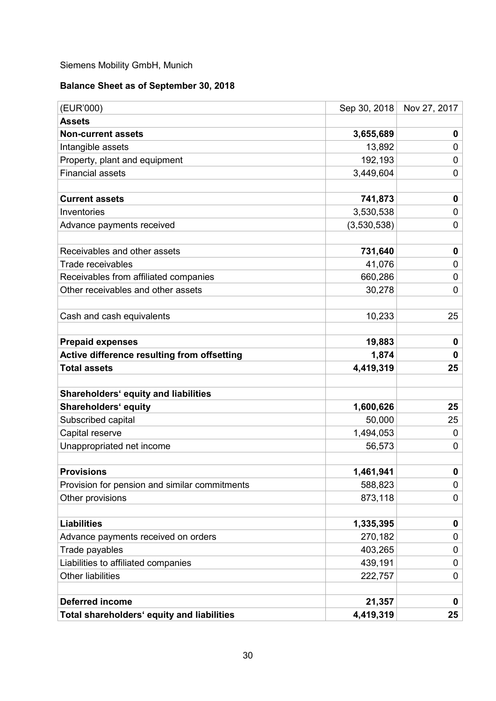# Siemens Mobility GmbH, Munich

# **Balance Sheet as of September 30, 2018**

| (EUR'000)                                     | Sep 30, 2018 | Nov 27, 2017 |
|-----------------------------------------------|--------------|--------------|
| <b>Assets</b>                                 |              |              |
| <b>Non-current assets</b>                     | 3,655,689    | 0            |
| Intangible assets                             | 13,892       | 0            |
| Property, plant and equipment                 | 192,193      | 0            |
| <b>Financial assets</b>                       | 3,449,604    | 0            |
|                                               |              |              |
| <b>Current assets</b>                         | 741,873      | $\mathbf 0$  |
| Inventories                                   | 3,530,538    | 0            |
| Advance payments received                     | (3,530,538)  | 0            |
|                                               |              |              |
| Receivables and other assets                  | 731,640      | $\mathbf 0$  |
| Trade receivables                             | 41,076       | 0            |
| Receivables from affiliated companies         | 660,286      | 0            |
| Other receivables and other assets            | 30,278       | $\mathbf 0$  |
|                                               |              |              |
| Cash and cash equivalents                     | 10,233       | 25           |
|                                               |              |              |
| <b>Prepaid expenses</b>                       | 19,883       | 0            |
| Active difference resulting from offsetting   | 1,874        | $\mathbf 0$  |
| <b>Total assets</b>                           | 4,419,319    | 25           |
|                                               |              |              |
| <b>Shareholders' equity and liabilities</b>   |              |              |
| Shareholders' equity                          | 1,600,626    | 25           |
| Subscribed capital                            | 50,000       | 25           |
| Capital reserve                               | 1,494,053    | 0            |
| Unappropriated net income                     | 56,573       | 0            |
|                                               |              |              |
| <b>Provisions</b>                             | 1,461,941    | $\mathbf 0$  |
| Provision for pension and similar commitments | 588,823      | 0            |
| Other provisions                              | 873,118      | 0            |
|                                               |              |              |
| <b>Liabilities</b>                            | 1,335,395    | $\mathbf 0$  |
| Advance payments received on orders           | 270,182      | 0            |
| Trade payables                                | 403,265      | 0            |
| Liabilities to affiliated companies           | 439,191      | 0            |
| <b>Other liabilities</b>                      | 222,757      | 0            |
|                                               |              |              |
| <b>Deferred income</b>                        | 21,357       | 0            |
| Total shareholders' equity and liabilities    | 4,419,319    | 25           |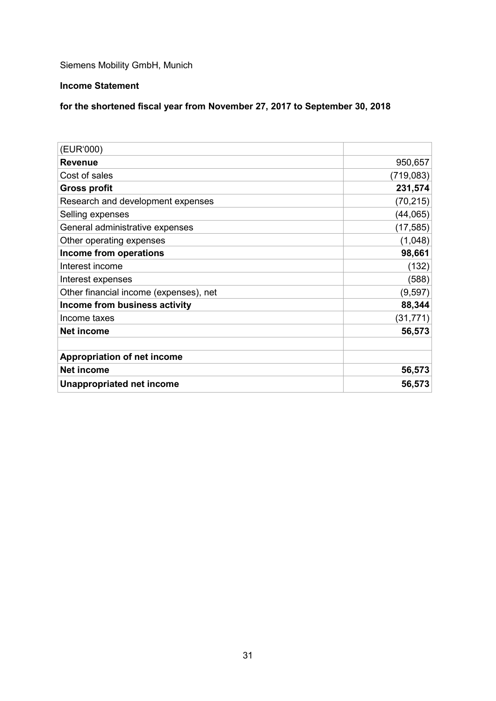Siemens Mobility GmbH, Munich

# **Income Statement**

# **for the shortened fiscal year from November 27, 2017 to September 30, 2018**

| (EUR'000)                              |            |
|----------------------------------------|------------|
| <b>Revenue</b>                         | 950,657    |
| Cost of sales                          | (719, 083) |
| <b>Gross profit</b>                    | 231,574    |
| Research and development expenses      | (70, 215)  |
| Selling expenses                       | (44, 065)  |
| General administrative expenses        | (17, 585)  |
| Other operating expenses               | (1,048)    |
| Income from operations                 | 98,661     |
| Interest income                        | (132)      |
| Interest expenses                      | (588)      |
| Other financial income (expenses), net | (9, 597)   |
| Income from business activity          | 88,344     |
| Income taxes                           | (31, 771)  |
| <b>Net income</b>                      | 56,573     |
|                                        |            |
| <b>Appropriation of net income</b>     |            |
| <b>Net income</b>                      | 56,573     |
| Unappropriated net income              | 56,573     |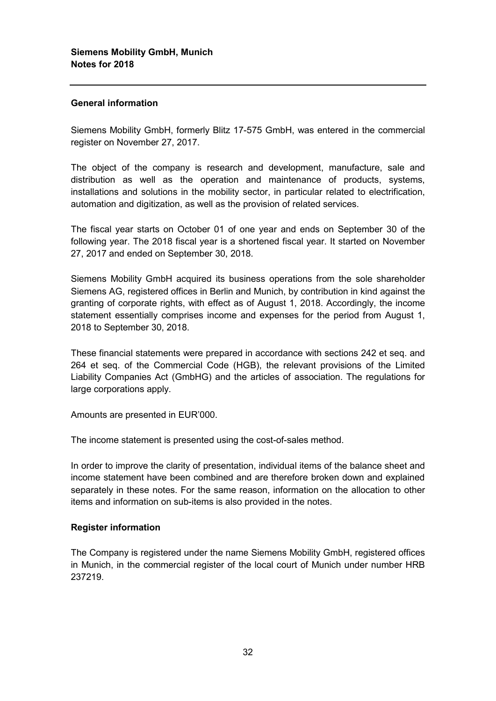### **General information**

Siemens Mobility GmbH, formerly Blitz 17-575 GmbH, was entered in the commercial register on November 27, 2017.

The object of the company is research and development, manufacture, sale and distribution as well as the operation and maintenance of products, systems, installations and solutions in the mobility sector, in particular related to electrification, automation and digitization, as well as the provision of related services.

The fiscal year starts on October 01 of one year and ends on September 30 of the following year. The 2018 fiscal year is a shortened fiscal year. It started on November 27, 2017 and ended on September 30, 2018.

Siemens Mobility GmbH acquired its business operations from the sole shareholder Siemens AG, registered offices in Berlin and Munich, by contribution in kind against the granting of corporate rights, with effect as of August 1, 2018. Accordingly, the income statement essentially comprises income and expenses for the period from August 1, 2018 to September 30, 2018.

These financial statements were prepared in accordance with sections 242 et seq. and 264 et seq. of the Commercial Code (HGB), the relevant provisions of the Limited Liability Companies Act (GmbHG) and the articles of association. The regulations for large corporations apply.

Amounts are presented in EUR'000.

The income statement is presented using the cost-of-sales method.

In order to improve the clarity of presentation, individual items of the balance sheet and income statement have been combined and are therefore broken down and explained separately in these notes. For the same reason, information on the allocation to other items and information on sub-items is also provided in the notes.

#### **Register information**

The Company is registered under the name Siemens Mobility GmbH, registered offices in Munich, in the commercial register of the local court of Munich under number HRB 237219.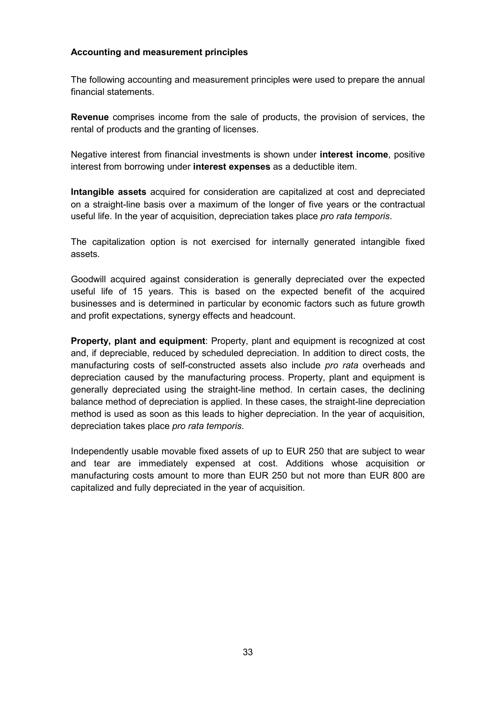#### **Accounting and measurement principles**

The following accounting and measurement principles were used to prepare the annual financial statements.

**Revenue** comprises income from the sale of products, the provision of services, the rental of products and the granting of licenses.

Negative interest from financial investments is shown under **interest income**, positive interest from borrowing under **interest expenses** as a deductible item.

**Intangible assets** acquired for consideration are capitalized at cost and depreciated on a straight-line basis over a maximum of the longer of five years or the contractual useful life. In the year of acquisition, depreciation takes place *pro rata temporis*.

The capitalization option is not exercised for internally generated intangible fixed assets.

Goodwill acquired against consideration is generally depreciated over the expected useful life of 15 years. This is based on the expected benefit of the acquired businesses and is determined in particular by economic factors such as future growth and profit expectations, synergy effects and headcount.

**Property, plant and equipment**: Property, plant and equipment is recognized at cost and, if depreciable, reduced by scheduled depreciation. In addition to direct costs, the manufacturing costs of self-constructed assets also include *pro rata* overheads and depreciation caused by the manufacturing process. Property, plant and equipment is generally depreciated using the straight-line method. In certain cases, the declining balance method of depreciation is applied. In these cases, the straight-line depreciation method is used as soon as this leads to higher depreciation. In the year of acquisition, depreciation takes place *pro rata temporis*.

Independently usable movable fixed assets of up to EUR 250 that are subject to wear and tear are immediately expensed at cost. Additions whose acquisition or manufacturing costs amount to more than EUR 250 but not more than EUR 800 are capitalized and fully depreciated in the year of acquisition.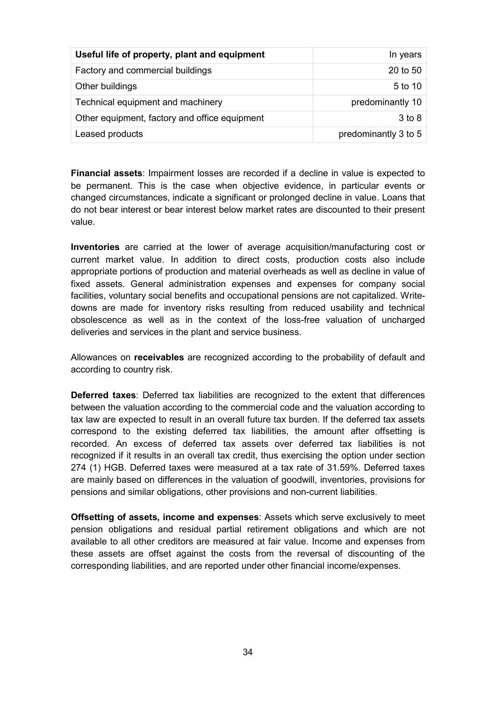| Useful life of property, plant and equipment  | In years             |
|-----------------------------------------------|----------------------|
| Factory and commercial buildings              | 20 to 50             |
| Other buildings                               | 5 to 10              |
| Technical equipment and machinery             | predominantly 10     |
| Other equipment, factory and office equipment | 3 to 8               |
| Leased products                               | predominantly 3 to 5 |

**Financial assets**: Impairment losses are recorded if a decline in value is expected to be permanent. This is the case when objective evidence, in particular events or changed circumstances, indicate a significant or prolonged decline in value. Loans that do not bear interest or bear interest below market rates are discounted to their present value.

**Inventories** are carried at the lower of average acquisition/manufacturing cost or current market value. In addition to direct costs, production costs also include appropriate portions of production and material overheads as well as decline in value of fixed assets. General administration expenses and expenses for company social facilities, voluntary social benefits and occupational pensions are not capitalized. Writedowns are made for inventory risks resulting from reduced usability and technical obsolescence as well as in the context of the loss-free valuation of uncharged deliveries and services in the plant and service business.

Allowances on **receivables** are recognized according to the probability of default and according to country risk.

**Deferred taxes**: Deferred tax liabilities are recognized to the extent that differences between the valuation according to the commercial code and the valuation according to tax law are expected to result in an overall future tax burden. If the deferred tax assets correspond to the existing deferred tax liabilities, the amount after offsetting is recorded. An excess of deferred tax assets over deferred tax liabilities is not recognized if it results in an overall tax credit, thus exercising the option under section 274 (1) HGB. Deferred taxes were measured at a tax rate of 31.59%. Deferred taxes are mainly based on differences in the valuation of goodwill, inventories, provisions for pensions and similar obligations, other provisions and non-current liabilities.

**Offsetting of assets, income and expenses**: Assets which serve exclusively to meet pension obligations and residual partial retirement obligations and which are not available to all other creditors are measured at fair value. Income and expenses from these assets are offset against the costs from the reversal of discounting of the corresponding liabilities, and are reported under other financial income/expenses.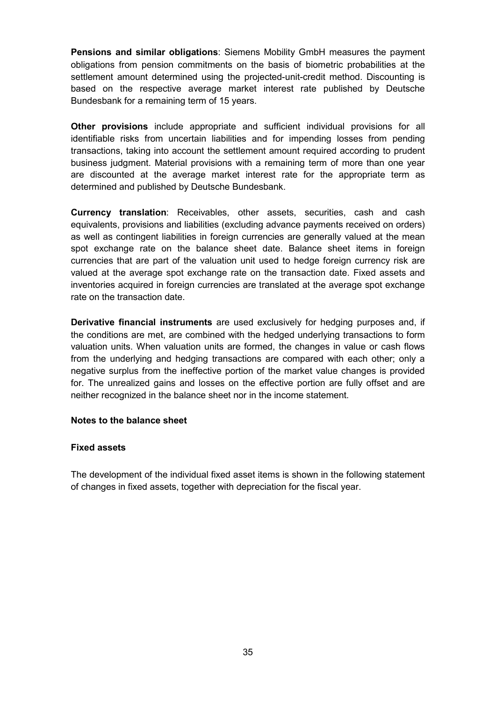**Pensions and similar obligations**: Siemens Mobility GmbH measures the payment obligations from pension commitments on the basis of biometric probabilities at the settlement amount determined using the projected-unit-credit method. Discounting is based on the respective average market interest rate published by Deutsche Bundesbank for a remaining term of 15 years.

**Other provisions** include appropriate and sufficient individual provisions for all identifiable risks from uncertain liabilities and for impending losses from pending transactions, taking into account the settlement amount required according to prudent business judgment. Material provisions with a remaining term of more than one year are discounted at the average market interest rate for the appropriate term as determined and published by Deutsche Bundesbank.

**Currency translation**: Receivables, other assets, securities, cash and cash equivalents, provisions and liabilities (excluding advance payments received on orders) as well as contingent liabilities in foreign currencies are generally valued at the mean spot exchange rate on the balance sheet date. Balance sheet items in foreign currencies that are part of the valuation unit used to hedge foreign currency risk are valued at the average spot exchange rate on the transaction date. Fixed assets and inventories acquired in foreign currencies are translated at the average spot exchange rate on the transaction date.

**Derivative financial instruments** are used exclusively for hedging purposes and, if the conditions are met, are combined with the hedged underlying transactions to form valuation units. When valuation units are formed, the changes in value or cash flows from the underlying and hedging transactions are compared with each other; only a negative surplus from the ineffective portion of the market value changes is provided for. The unrealized gains and losses on the effective portion are fully offset and are neither recognized in the balance sheet nor in the income statement.

#### **Notes to the balance sheet**

#### **Fixed assets**

The development of the individual fixed asset items is shown in the following statement of changes in fixed assets, together with depreciation for the fiscal year.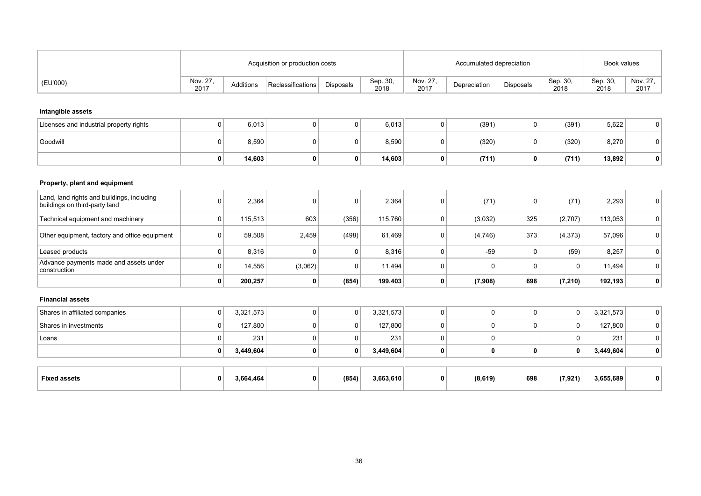|                                                                             |                  |           | Acquisition or production costs |             |                  | Accumulated depreciation |                | Book values      |                  |                  |                  |
|-----------------------------------------------------------------------------|------------------|-----------|---------------------------------|-------------|------------------|--------------------------|----------------|------------------|------------------|------------------|------------------|
| (EU'000)                                                                    | Nov. 27,<br>2017 | Additions | Reclassifications               | Disposals   | Sep. 30,<br>2018 | Nov. 27,<br>2017         | Depreciation   | Disposals        | Sep. 30,<br>2018 | Sep. 30,<br>2018 | Nov. 27,<br>2017 |
| Intangible assets                                                           |                  |           |                                 |             |                  |                          |                |                  |                  |                  |                  |
| Licenses and industrial property rights                                     | 0                | 6,013     | $\overline{0}$                  | 0           | 6,013            | $\mathbf 0$              | (391)          | $\mathbf 0$      | (391)            | 5,622            | $\mathbf 0$      |
| Goodwill                                                                    | 0                | 8,590     | $\mathbf 0$                     | 0           | 8,590            | $\mathbf 0$              | (320)          | $\boldsymbol{0}$ | (320)            | 8,270            | 0                |
|                                                                             | 0                | 14,603    | $\mathbf{0}$                    | 0           | 14,603           | $\mathbf 0$              | (711)          | 0                | (711)            | 13,892           | $\mathbf 0$      |
| Property, plant and equipment                                               |                  |           |                                 |             |                  |                          |                |                  |                  |                  |                  |
| Land, land rights and buildings, including<br>buildings on third-party land | 0                | 2,364     | $\mathbf 0$                     | $\mathbf 0$ | 2,364            | $\pmb{0}$                | (71)           | $\boldsymbol{0}$ | (71)             | 2,293            | $\overline{0}$   |
| Technical equipment and machinery                                           | $\mathbf 0$      | 115,513   | 603                             | (356)       | 115,760          | $\mathbf 0$              | (3,032)        | 325              | (2,707)          | 113,053          | $\mathbf 0$      |
| Other equipment, factory and office equipment                               | 0                | 59,508    | 2,459                           | (498)       | 61,469           | $\pmb{0}$                | (4,746)        | 373              | (4, 373)         | 57,096           | $\boldsymbol{0}$ |
| Leased products                                                             | $\mathbf 0$      | 8,316     | $\mathbf 0$                     | 0           | 8,316            | $\mathbf 0$              | $-59$          | $\overline{0}$   | (59)             | 8,257            | $\boldsymbol{0}$ |
| Advance payments made and assets under<br>construction                      | 0                | 14,556    | (3,062)                         | 0           | 11,494           | $\mathbf 0$              | $\mathbf 0$    | $\overline{0}$   | 0                | 11,494           | $\boldsymbol{0}$ |
|                                                                             | 0                | 200,257   | $\mathbf 0$                     | (854)       | 199,403          | $\mathbf 0$              | (7,908)        | 698              | (7, 210)         | 192,193          | 0                |
| <b>Financial assets</b>                                                     |                  |           |                                 |             |                  |                          |                |                  |                  |                  |                  |
| Shares in affiliated companies                                              | 0 <sup>1</sup>   | 3,321,573 | 0 <sup>1</sup>                  | 0           | 3,321,573        | 0                        | $\overline{0}$ | $\boldsymbol{0}$ | 0 <sup>1</sup>   | 3,321,573        | $\mathbf 0$      |
| Shares in investments                                                       | 0                | 127,800   | $\overline{0}$                  | 0           | 127,800          | $\mathbf 0$              | $\pmb{0}$      | $\boldsymbol{0}$ | 0                | 127,800          | $\mathbf 0$      |
| Loans                                                                       | 0                | 231       | $\mathbf 0$                     | 0           | 231              | $\mathbf 0$              | $\mathbf 0$    |                  | $\mathbf 0$      | 231              | $\mathbf 0$      |
|                                                                             | 0                | 3,449,604 | $\mathbf{0}$                    | 0           | 3,449,604        | $\mathbf 0$              | $\pmb{0}$      | $\mathbf 0$      | 0                | 3,449,604        | $\mathbf 0$      |
|                                                                             |                  |           |                                 |             |                  |                          |                |                  |                  |                  |                  |
| <b>Fixed assets</b>                                                         | 0                | 3,664,464 | $\mathbf 0$                     | (854)       | 3,663,610        | $\mathbf 0$              | (8, 619)       | 698              | (7, 921)         | 3,655,689        | 0                |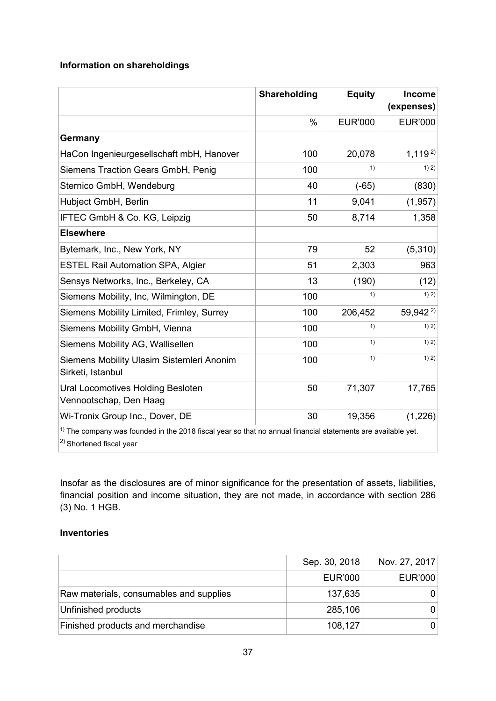# **Information on shareholdings**

|                                                                                                                                                | Shareholding | <b>Equity</b>  | <b>Income</b><br>(expenses) |
|------------------------------------------------------------------------------------------------------------------------------------------------|--------------|----------------|-----------------------------|
|                                                                                                                                                | %            | <b>EUR'000</b> | <b>EUR'000</b>              |
| Germany                                                                                                                                        |              |                |                             |
| HaCon Ingenieurgesellschaft mbH, Hanover                                                                                                       | 100          | 20,078         | $1,119^{2}$                 |
| Siemens Traction Gears GmbH, Penig                                                                                                             | 100          | 1)             | 1) 2)                       |
| Sternico GmbH, Wendeburg                                                                                                                       | 40           | $(-65)$        | (830)                       |
| Hubject GmbH, Berlin                                                                                                                           | 11           | 9,041          | (1,957)                     |
| IFTEC GmbH & Co. KG, Leipzig                                                                                                                   | 50           | 8,714          | 1,358                       |
| <b>Elsewhere</b>                                                                                                                               |              |                |                             |
| Bytemark, Inc., New York, NY                                                                                                                   | 79           | 52             | (5,310)                     |
| <b>ESTEL Rail Automation SPA, Algier</b>                                                                                                       | 51           | 2,303          | 963                         |
| Sensys Networks, Inc., Berkeley, CA                                                                                                            | 13           | (190)          | (12)                        |
| Siemens Mobility, Inc, Wilmington, DE                                                                                                          | 100          | 1)             | 1) 2)                       |
| Siemens Mobility Limited, Frimley, Surrey                                                                                                      | 100          | 206,452        | 59,942 <sup>2)</sup>        |
| Siemens Mobility GmbH, Vienna                                                                                                                  | 100          | 1)             | 1) 2)                       |
| Siemens Mobility AG, Wallisellen                                                                                                               | 100          | 1)             | 1) 2)                       |
| Siemens Mobility Ulasim Sistemleri Anonim<br>Sirketi, Istanbul                                                                                 | 100          | 1)             | 1) 2)                       |
| Ural Locomotives Holding Besloten<br>Vennootschap, Den Haag                                                                                    | 50           | 71,307         | 17,765                      |
| Wi-Tronix Group Inc., Dover, DE                                                                                                                | 30           | 19,356         | (1,226)                     |
| $1$ ) The company was founded in the 2018 fiscal year so that no annual financial statements are available yet.<br>$ 2)$ Shortened fiscal year |              |                |                             |

Insofar as the disclosures are of minor significance for the presentation of assets, liabilities, financial position and income situation, they are not made, in accordance with section 286 (3) No. 1 HGB.

# **Inventories**

|                                         | Sep. 30, 2018  | Nov. 27, 2017 |
|-----------------------------------------|----------------|---------------|
|                                         | <b>EUR'000</b> | EUR'000       |
| Raw materials, consumables and supplies | 137,635        |               |
| Unfinished products                     | 285,106        |               |
| Finished products and merchandise       | 108,127        |               |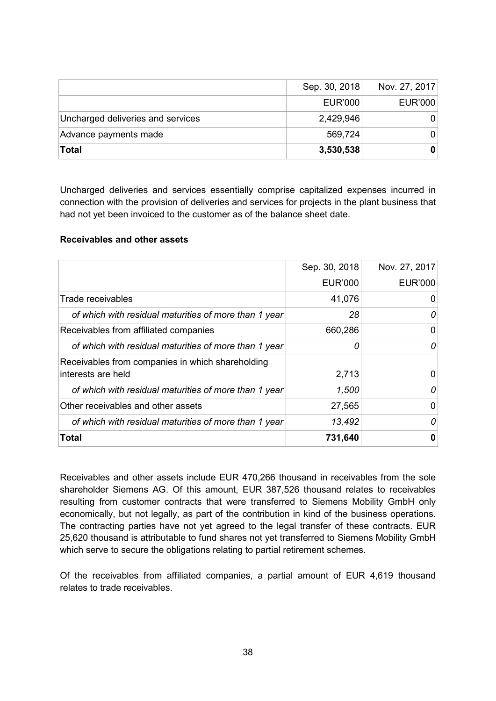|                                   | Sep. 30, 2018 | Nov. 27, 2017  |
|-----------------------------------|---------------|----------------|
|                                   | EUR'000       | <b>EUR'000</b> |
| Uncharged deliveries and services | 2,429,946     | 0              |
| Advance payments made             | 569,724       | 0.             |
| Total                             | 3,530,538     | 0              |

Uncharged deliveries and services essentially comprise capitalized expenses incurred in connection with the provision of deliveries and services for projects in the plant business that had not yet been invoiced to the customer as of the balance sheet date.

#### **Receivables and other assets**

|                                                                         | Sep. 30, 2018  | Nov. 27, 2017 |
|-------------------------------------------------------------------------|----------------|---------------|
|                                                                         | <b>EUR'000</b> | EUR'000       |
| Trade receivables                                                       | 41,076         | O             |
| of which with residual maturities of more than 1 year                   | 28             | 0             |
| Receivables from affiliated companies                                   | 660,286        | 0             |
| of which with residual maturities of more than 1 year                   | Ω              | 0             |
| Receivables from companies in which shareholding<br>linterests are held | 2,713          |               |
| of which with residual maturities of more than 1 year                   | 1,500          | 0             |
| Other receivables and other assets                                      | 27,565         | 0             |
| of which with residual maturities of more than 1 year                   | 13,492         | 0             |
| <b>Total</b>                                                            | 731,640        | 0             |

Receivables and other assets include EUR 470,266 thousand in receivables from the sole shareholder Siemens AG. Of this amount, EUR 387,526 thousand relates to receivables resulting from customer contracts that were transferred to Siemens Mobility GmbH only economically, but not legally, as part of the contribution in kind of the business operations. The contracting parties have not yet agreed to the legal transfer of these contracts. EUR 25,620 thousand is attributable to fund shares not yet transferred to Siemens Mobility GmbH which serve to secure the obligations relating to partial retirement schemes.

Of the receivables from affiliated companies, a partial amount of EUR 4,619 thousand relates to trade receivables.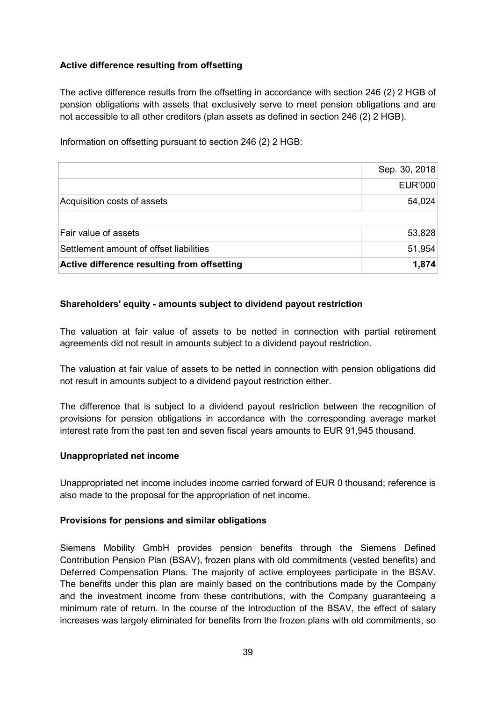# **Active difference resulting from offsetting**

The active difference results from the offsetting in accordance with section 246 (2) 2 HGB of pension obligations with assets that exclusively serve to meet pension obligations and are not accessible to all other creditors (plan assets as defined in section 246 (2) 2 HGB).

Information on offsetting pursuant to section 246 (2) 2 HGB:

|                                             | Sep. 30, 2018  |
|---------------------------------------------|----------------|
|                                             | <b>EUR'000</b> |
| Acquisition costs of assets                 | 54,024         |
|                                             |                |
| Fair value of assets                        | 53,828         |
| Settlement amount of offset liabilities     | 51,954         |
| Active difference resulting from offsetting | 1,874          |

# **Shareholders' equity - amounts subject to dividend payout restriction**

The valuation at fair value of assets to be netted in connection with partial retirement agreements did not result in amounts subject to a dividend payout restriction.

The valuation at fair value of assets to be netted in connection with pension obligations did not result in amounts subject to a dividend payout restriction either.

The difference that is subject to a dividend payout restriction between the recognition of provisions for pension obligations in accordance with the corresponding average market interest rate from the past ten and seven fiscal years amounts to EUR 91,945 thousand.

#### **Unappropriated net income**

Unappropriated net income includes income carried forward of EUR 0 thousand; reference is also made to the proposal for the appropriation of net income.

#### **Provisions for pensions and similar obligations**

Siemens Mobility GmbH provides pension benefits through the Siemens Defined Contribution Pension Plan (BSAV), frozen plans with old commitments (vested benefits) and Deferred Compensation Plans. The majority of active employees participate in the BSAV. The benefits under this plan are mainly based on the contributions made by the Company and the investment income from these contributions, with the Company guaranteeing a minimum rate of return. In the course of the introduction of the BSAV, the effect of salary increases was largely eliminated for benefits from the frozen plans with old commitments, so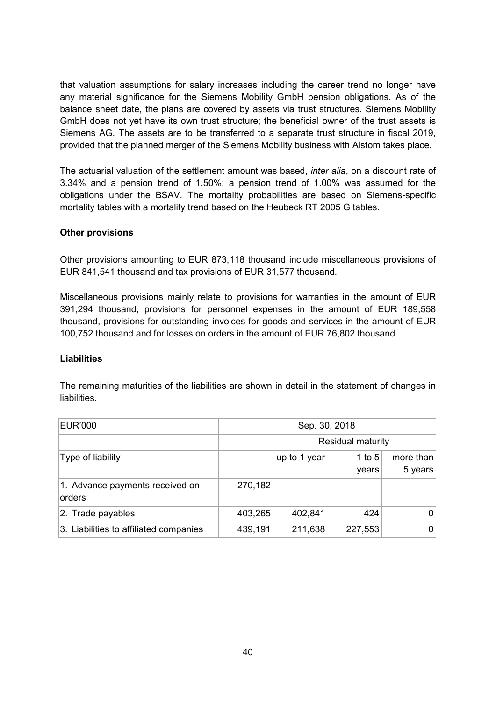that valuation assumptions for salary increases including the career trend no longer have any material significance for the Siemens Mobility GmbH pension obligations. As of the balance sheet date, the plans are covered by assets via trust structures. Siemens Mobility GmbH does not yet have its own trust structure; the beneficial owner of the trust assets is Siemens AG. The assets are to be transferred to a separate trust structure in fiscal 2019, provided that the planned merger of the Siemens Mobility business with Alstom takes place.

The actuarial valuation of the settlement amount was based, *inter alia*, on a discount rate of 3.34% and a pension trend of 1.50%; a pension trend of 1.00% was assumed for the obligations under the BSAV. The mortality probabilities are based on Siemens-specific mortality tables with a mortality trend based on the Heubeck RT 2005 G tables.

#### **Other provisions**

Other provisions amounting to EUR 873,118 thousand include miscellaneous provisions of EUR 841,541 thousand and tax provisions of EUR 31,577 thousand.

Miscellaneous provisions mainly relate to provisions for warranties in the amount of EUR 391,294 thousand, provisions for personnel expenses in the amount of EUR 189,558 thousand, provisions for outstanding invoices for goods and services in the amount of EUR 100,752 thousand and for losses on orders in the amount of EUR 76,802 thousand.

#### **Liabilities**

The remaining maturities of the liabilities are shown in detail in the statement of changes in liabilities.

| <b>EUR'000</b>                            | Sep. 30, 2018            |                                                           |         |   |
|-------------------------------------------|--------------------------|-----------------------------------------------------------|---------|---|
|                                           | <b>Residual maturity</b> |                                                           |         |   |
| Type of liability                         |                          | more than<br>up to 1 year<br>1 to $5$<br>5 years<br>years |         |   |
| 1. Advance payments received on<br>orders | 270,182                  |                                                           |         |   |
| 2. Trade payables                         | 403,265                  | 402,841                                                   | 424     |   |
| 3. Liabilities to affiliated companies    | 439,191                  | 211,638                                                   | 227,553 | 0 |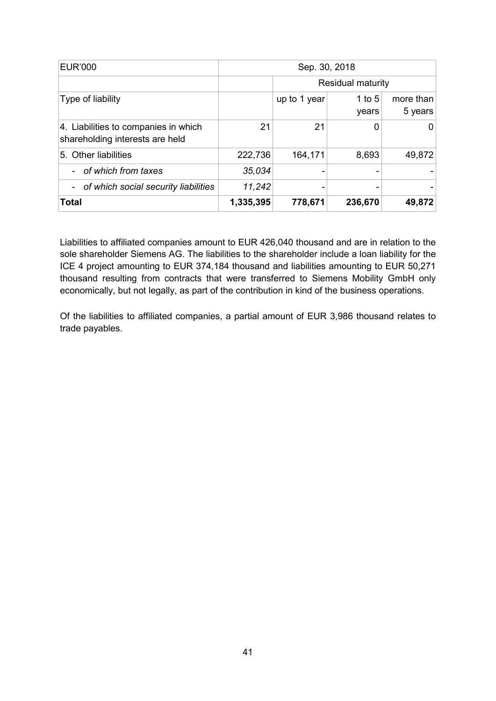| <b>EUR'000</b>                                                          | Sep. 30, 2018 |                          |                   |                      |
|-------------------------------------------------------------------------|---------------|--------------------------|-------------------|----------------------|
|                                                                         |               | <b>Residual maturity</b> |                   |                      |
| Type of liability                                                       |               | up to 1 year             | 1 to $5$<br>years | more than<br>5 years |
| 4. Liabilities to companies in which<br>shareholding interests are held | 21            | 21                       |                   |                      |
| 5. Other liabilities                                                    | 222,736       | 164,171                  | 8,693             | 49,872               |
| of which from taxes                                                     | 35,034        |                          |                   |                      |
| - of which social security liabilities                                  | 11,242        | ۰                        |                   |                      |
| <b>Total</b>                                                            | 1,335,395     | 778,671                  | 236,670           | 49,872               |

Liabilities to affiliated companies amount to EUR 426,040 thousand and are in relation to the sole shareholder Siemens AG. The liabilities to the shareholder include a loan liability for the ICE 4 project amounting to EUR 374,184 thousand and liabilities amounting to EUR 50,271 thousand resulting from contracts that were transferred to Siemens Mobility GmbH only economically, but not legally, as part of the contribution in kind of the business operations.

Of the liabilities to affiliated companies, a partial amount of EUR 3,986 thousand relates to trade payables.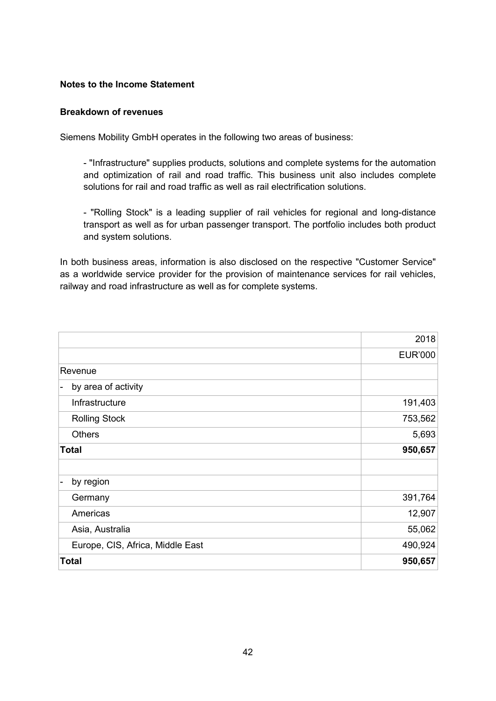#### **Notes to the Income Statement**

#### **Breakdown of revenues**

Siemens Mobility GmbH operates in the following two areas of business:

- "Infrastructure" supplies products, solutions and complete systems for the automation and optimization of rail and road traffic. This business unit also includes complete solutions for rail and road traffic as well as rail electrification solutions.

- "Rolling Stock" is a leading supplier of rail vehicles for regional and long-distance transport as well as for urban passenger transport. The portfolio includes both product and system solutions.

In both business areas, information is also disclosed on the respective "Customer Service" as a worldwide service provider for the provision of maintenance services for rail vehicles, railway and road infrastructure as well as for complete systems.

|                                  | 2018           |
|----------------------------------|----------------|
|                                  | <b>EUR'000</b> |
| Revenue                          |                |
| by area of activity<br>Ξ.        |                |
| Infrastructure                   | 191,403        |
| <b>Rolling Stock</b>             | 753,562        |
| <b>Others</b>                    | 5,693          |
| <b>Total</b>                     | 950,657        |
|                                  |                |
| by region<br>Ι.                  |                |
| Germany                          | 391,764        |
| Americas                         | 12,907         |
| Asia, Australia                  | 55,062         |
| Europe, CIS, Africa, Middle East | 490,924        |
| <b>Total</b>                     | 950,657        |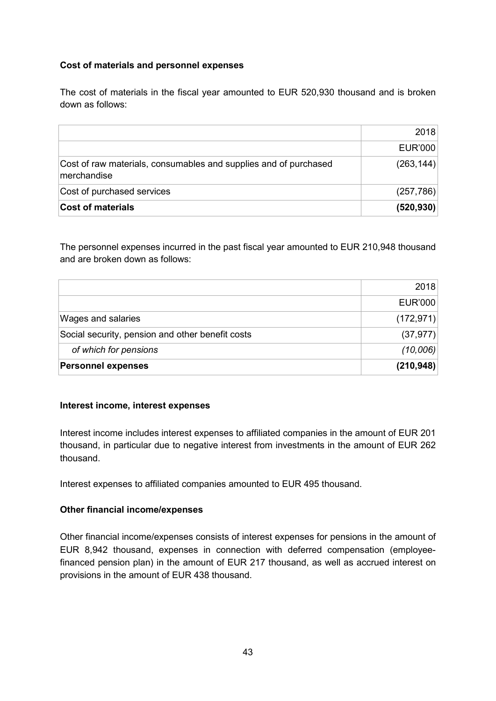# **Cost of materials and personnel expenses**

The cost of materials in the fiscal year amounted to EUR 520,930 thousand and is broken down as follows:

| <b>Cost of materials</b>                                                        | (520, 930) |
|---------------------------------------------------------------------------------|------------|
| Cost of purchased services                                                      | (257, 786) |
| Cost of raw materials, consumables and supplies and of purchased<br>merchandise | (263, 144) |
|                                                                                 | EUR'000    |
|                                                                                 | 2018       |

The personnel expenses incurred in the past fiscal year amounted to EUR 210,948 thousand and are broken down as follows:

|                                                  | 2018       |
|--------------------------------------------------|------------|
|                                                  | EUR'000    |
| <b>Wages and salaries</b>                        | (172, 971) |
| Social security, pension and other benefit costs | (37, 977)  |
| of which for pensions                            | (10,006)   |
| <b>Personnel expenses</b>                        | (210, 948) |

#### **Interest income, interest expenses**

Interest income includes interest expenses to affiliated companies in the amount of EUR 201 thousand, in particular due to negative interest from investments in the amount of EUR 262 thousand.

Interest expenses to affiliated companies amounted to EUR 495 thousand.

#### **Other financial income/expenses**

Other financial income/expenses consists of interest expenses for pensions in the amount of EUR 8,942 thousand, expenses in connection with deferred compensation (employeefinanced pension plan) in the amount of EUR 217 thousand, as well as accrued interest on provisions in the amount of EUR 438 thousand.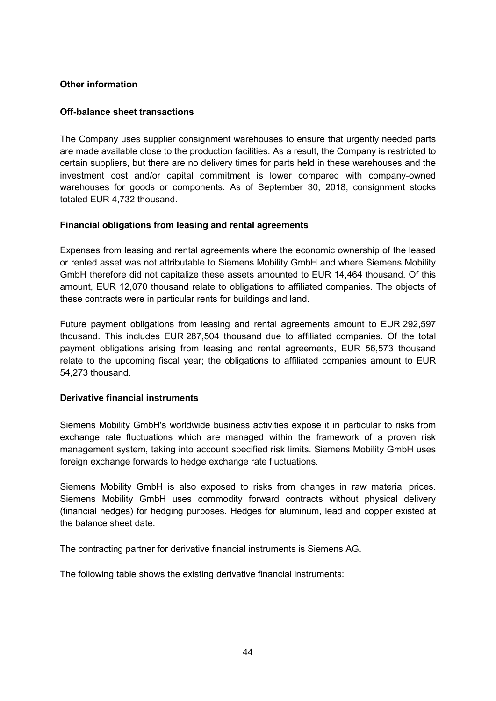# **Other information**

### **Off-balance sheet transactions**

The Company uses supplier consignment warehouses to ensure that urgently needed parts are made available close to the production facilities. As a result, the Company is restricted to certain suppliers, but there are no delivery times for parts held in these warehouses and the investment cost and/or capital commitment is lower compared with company-owned warehouses for goods or components. As of September 30, 2018, consignment stocks totaled EUR 4,732 thousand.

# **Financial obligations from leasing and rental agreements**

Expenses from leasing and rental agreements where the economic ownership of the leased or rented asset was not attributable to Siemens Mobility GmbH and where Siemens Mobility GmbH therefore did not capitalize these assets amounted to EUR 14,464 thousand. Of this amount, EUR 12,070 thousand relate to obligations to affiliated companies. The objects of these contracts were in particular rents for buildings and land.

Future payment obligations from leasing and rental agreements amount to EUR 292,597 thousand. This includes EUR 287,504 thousand due to affiliated companies. Of the total payment obligations arising from leasing and rental agreements, EUR 56,573 thousand relate to the upcoming fiscal year; the obligations to affiliated companies amount to EUR 54,273 thousand.

#### **Derivative financial instruments**

Siemens Mobility GmbH's worldwide business activities expose it in particular to risks from exchange rate fluctuations which are managed within the framework of a proven risk management system, taking into account specified risk limits. Siemens Mobility GmbH uses foreign exchange forwards to hedge exchange rate fluctuations.

Siemens Mobility GmbH is also exposed to risks from changes in raw material prices. Siemens Mobility GmbH uses commodity forward contracts without physical delivery (financial hedges) for hedging purposes. Hedges for aluminum, lead and copper existed at the balance sheet date.

The contracting partner for derivative financial instruments is Siemens AG.

The following table shows the existing derivative financial instruments: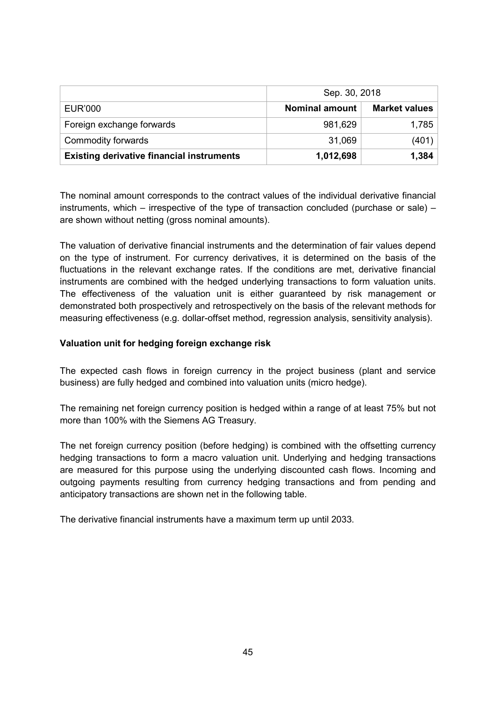|                                                  | Sep. 30, 2018         |                      |
|--------------------------------------------------|-----------------------|----------------------|
| <b>EUR'000</b>                                   | <b>Nominal amount</b> | <b>Market values</b> |
| Foreign exchange forwards                        | 981,629               | 1,785                |
| Commodity forwards                               | 31,069                | (401)                |
| <b>Existing derivative financial instruments</b> | 1,012,698             | 1,384                |

The nominal amount corresponds to the contract values of the individual derivative financial instruments, which – irrespective of the type of transaction concluded (purchase or sale) – are shown without netting (gross nominal amounts).

The valuation of derivative financial instruments and the determination of fair values depend on the type of instrument. For currency derivatives, it is determined on the basis of the fluctuations in the relevant exchange rates. If the conditions are met, derivative financial instruments are combined with the hedged underlying transactions to form valuation units. The effectiveness of the valuation unit is either guaranteed by risk management or demonstrated both prospectively and retrospectively on the basis of the relevant methods for measuring effectiveness (e.g. dollar-offset method, regression analysis, sensitivity analysis).

# **Valuation unit for hedging foreign exchange risk**

The expected cash flows in foreign currency in the project business (plant and service business) are fully hedged and combined into valuation units (micro hedge).

The remaining net foreign currency position is hedged within a range of at least 75% but not more than 100% with the Siemens AG Treasury.

The net foreign currency position (before hedging) is combined with the offsetting currency hedging transactions to form a macro valuation unit. Underlying and hedging transactions are measured for this purpose using the underlying discounted cash flows. Incoming and outgoing payments resulting from currency hedging transactions and from pending and anticipatory transactions are shown net in the following table.

The derivative financial instruments have a maximum term up until 2033.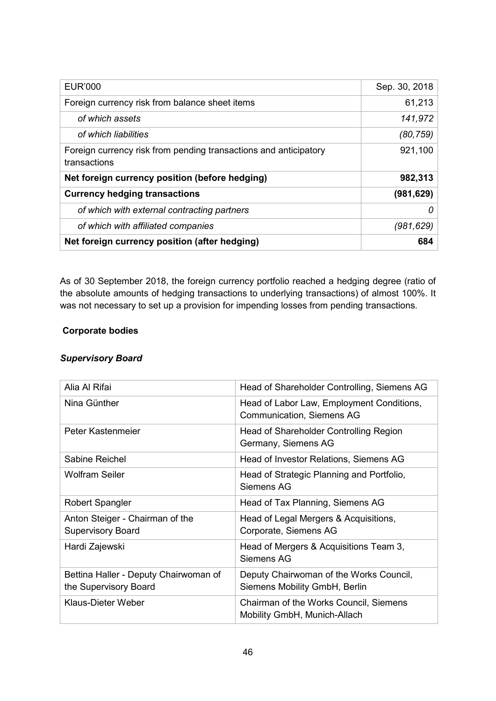| <b>EUR'000</b>                                                                   | Sep. 30, 2018 |
|----------------------------------------------------------------------------------|---------------|
| Foreign currency risk from balance sheet items                                   | 61,213        |
| of which assets                                                                  | 141,972       |
| of which liabilities                                                             | (80, 759)     |
| Foreign currency risk from pending transactions and anticipatory<br>transactions | 921,100       |
| Net foreign currency position (before hedging)                                   | 982,313       |
| <b>Currency hedging transactions</b>                                             | (981,629)     |
| of which with external contracting partners                                      |               |
| of which with affiliated companies                                               | (981, 629)    |
| Net foreign currency position (after hedging)                                    | 684           |

As of 30 September 2018, the foreign currency portfolio reached a hedging degree (ratio of the absolute amounts of hedging transactions to underlying transactions) of almost 100%. It was not necessary to set up a provision for impending losses from pending transactions.

# **Corporate bodies**

# *Supervisory Board*

| Alia Al Rifai                                                  | Head of Shareholder Controlling, Siemens AG                                   |
|----------------------------------------------------------------|-------------------------------------------------------------------------------|
| Nina Günther                                                   | Head of Labor Law, Employment Conditions,<br><b>Communication, Siemens AG</b> |
| Peter Kastenmeier                                              | Head of Shareholder Controlling Region<br>Germany, Siemens AG                 |
| Sabine Reichel                                                 | Head of Investor Relations, Siemens AG                                        |
| Wolfram Seiler                                                 | Head of Strategic Planning and Portfolio,<br>Siemens AG                       |
| <b>Robert Spangler</b>                                         | Head of Tax Planning, Siemens AG                                              |
| Anton Steiger - Chairman of the<br><b>Supervisory Board</b>    | Head of Legal Mergers & Acquisitions,<br>Corporate, Siemens AG                |
| Hardi Zajewski                                                 | Head of Mergers & Acquisitions Team 3,<br><b>Siemens AG</b>                   |
| Bettina Haller - Deputy Chairwoman of<br>the Supervisory Board | Deputy Chairwoman of the Works Council,<br>Siemens Mobility GmbH, Berlin      |
| <b>Klaus-Dieter Weber</b>                                      | Chairman of the Works Council, Siemens<br>Mobility GmbH, Munich-Allach        |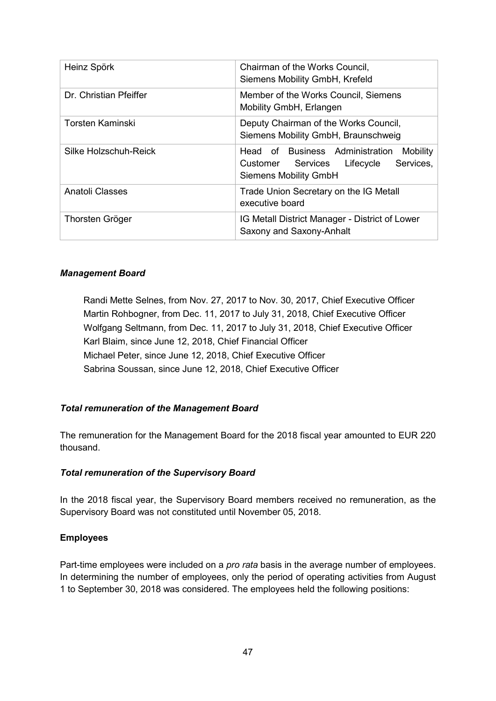| Heinz Spörk             | Chairman of the Works Council,<br>Siemens Mobility GmbH, Krefeld                                                           |  |
|-------------------------|----------------------------------------------------------------------------------------------------------------------------|--|
| Dr. Christian Pfeiffer  | Member of the Works Council, Siemens<br>Mobility GmbH, Erlangen                                                            |  |
| <b>Torsten Kaminski</b> | Deputy Chairman of the Works Council,<br>Siemens Mobility GmbH, Braunschweig                                               |  |
| Silke Holzschuh-Reick   | Head of Business Administration<br>Mobility<br>Services,<br>Customer Services<br>Lifecycle<br><b>Siemens Mobility GmbH</b> |  |
| Anatoli Classes         | Trade Union Secretary on the IG Metall<br>executive board                                                                  |  |
| Thorsten Gröger         | IG Metall District Manager - District of Lower<br>Saxony and Saxony-Anhalt                                                 |  |

# *Management Board*

Randi Mette Selnes, from Nov. 27, 2017 to Nov. 30, 2017, Chief Executive Officer Martin Rohbogner, from Dec. 11, 2017 to July 31, 2018, Chief Executive Officer Wolfgang Seltmann, from Dec. 11, 2017 to July 31, 2018, Chief Executive Officer Karl Blaim, since June 12, 2018, Chief Financial Officer Michael Peter, since June 12, 2018, Chief Executive Officer Sabrina Soussan, since June 12, 2018, Chief Executive Officer

#### *Total remuneration of the Management Board*

The remuneration for the Management Board for the 2018 fiscal year amounted to EUR 220 thousand.

#### *Total remuneration of the Supervisory Board*

In the 2018 fiscal year, the Supervisory Board members received no remuneration, as the Supervisory Board was not constituted until November 05, 2018.

#### **Employees**

Part-time employees were included on a *pro rata* basis in the average number of employees. In determining the number of employees, only the period of operating activities from August 1 to September 30, 2018 was considered. The employees held the following positions: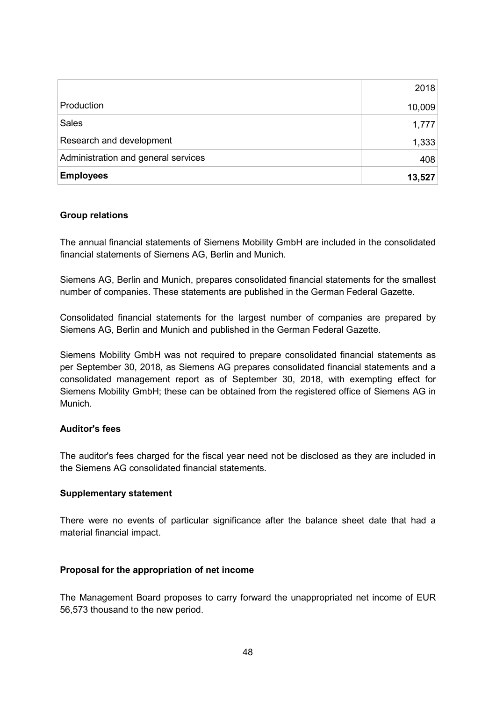|                                     | 2018   |
|-------------------------------------|--------|
| Production                          | 10,009 |
| <b>Sales</b>                        | 1,777  |
| Research and development            | 1,333  |
| Administration and general services | 408    |
| <b>Employees</b>                    | 13,527 |

#### **Group relations**

The annual financial statements of Siemens Mobility GmbH are included in the consolidated financial statements of Siemens AG, Berlin and Munich.

Siemens AG, Berlin and Munich, prepares consolidated financial statements for the smallest number of companies. These statements are published in the German Federal Gazette.

Consolidated financial statements for the largest number of companies are prepared by Siemens AG, Berlin and Munich and published in the German Federal Gazette.

Siemens Mobility GmbH was not required to prepare consolidated financial statements as per September 30, 2018, as Siemens AG prepares consolidated financial statements and a consolidated management report as of September 30, 2018, with exempting effect for Siemens Mobility GmbH; these can be obtained from the registered office of Siemens AG in Munich.

#### **Auditor's fees**

The auditor's fees charged for the fiscal year need not be disclosed as they are included in the Siemens AG consolidated financial statements.

#### **Supplementary statement**

There were no events of particular significance after the balance sheet date that had a material financial impact.

#### **Proposal for the appropriation of net income**

The Management Board proposes to carry forward the unappropriated net income of EUR 56,573 thousand to the new period.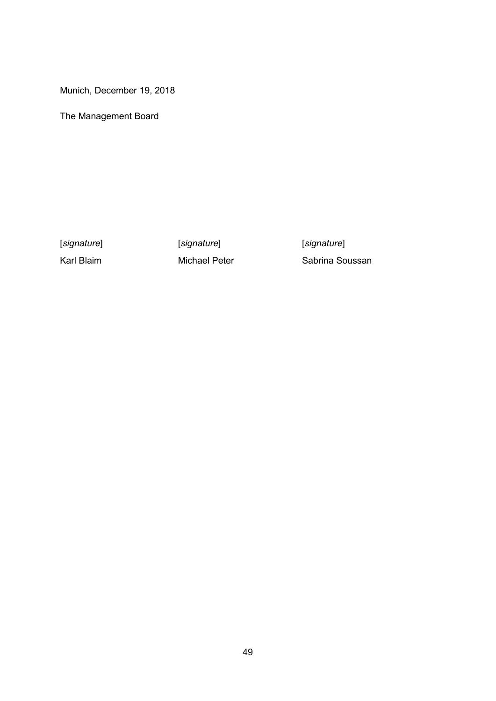Munich, December 19, 2018

The Management Board

[*signature*] [*signature*] [*signature*]

Karl Blaim **Michael Peter** Sabrina Soussan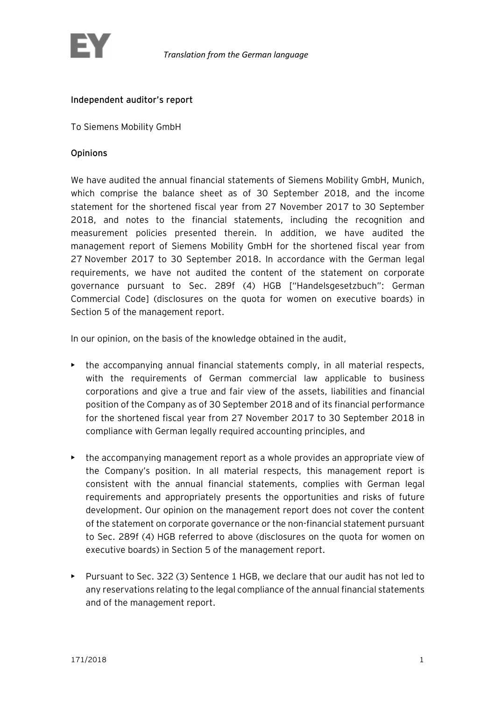

# Independent auditor's report

To Siemens Mobility GmbH

### Opinions

We have audited the annual financial statements of Siemens Mobility GmbH, Munich, which comprise the balance sheet as of 30 September 2018, and the income statement for the shortened fiscal year from 27 November 2017 to 30 September 2018, and notes to the financial statements, including the recognition and measurement policies presented therein. In addition, we have audited the management report of Siemens Mobility GmbH for the shortened fiscal year from 27 November 2017 to 30 September 2018. In accordance with the German legal requirements, we have not audited the content of the statement on corporate governance pursuant to Sec. 289f (4) HGB ["Handelsgesetzbuch": German Commercial Code] (disclosures on the quota for women on executive boards) in Section 5 of the management report.

In our opinion, on the basis of the knowledge obtained in the audit,

- the accompanying annual financial statements comply, in all material respects, with the requirements of German commercial law applicable to business corporations and give a true and fair view of the assets, liabilities and financial position of the Company as of 30 September 2018 and of its financial performance for the shortened fiscal year from 27 November 2017 to 30 September 2018 in compliance with German legally required accounting principles, and
- the accompanying management report as a whole provides an appropriate view of the Company's position. In all material respects, this management report is consistent with the annual financial statements, complies with German legal requirements and appropriately presents the opportunities and risks of future development. Our opinion on the management report does not cover the content of the statement on corporate governance or the non-financial statement pursuant to Sec. 289f (4) HGB referred to above (disclosures on the quota for women on executive boards) in Section 5 of the management report.
- Pursuant to Sec. 322 (3) Sentence 1 HGB, we declare that our audit has not led to any reservations relating to the legal compliance of the annual financial statements and of the management report.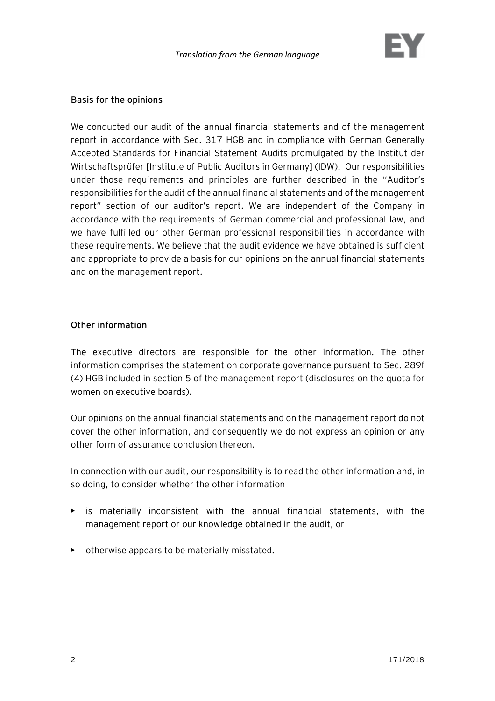

#### Basis for the opinions

We conducted our audit of the annual financial statements and of the management report in accordance with Sec. 317 HGB and in compliance with German Generally Accepted Standards for Financial Statement Audits promulgated by the Institut der Wirtschaftsprüfer [Institute of Public Auditors in Germany] (IDW). Our responsibilities under those requirements and principles are further described in the "Auditor's responsibilities for the audit of the annual financial statements and of the management report" section of our auditor's report. We are independent of the Company in accordance with the requirements of German commercial and professional law, and we have fulfilled our other German professional responsibilities in accordance with these requirements. We believe that the audit evidence we have obtained is sufficient and appropriate to provide a basis for our opinions on the annual financial statements and on the management report.

#### Other information

The executive directors are responsible for the other information. The other information comprises the statement on corporate governance pursuant to Sec. 289f (4) HGB included in section 5 of the management report (disclosures on the quota for women on executive boards).

Our opinions on the annual financial statements and on the management report do not cover the other information, and consequently we do not express an opinion or any other form of assurance conclusion thereon.

In connection with our audit, our responsibility is to read the other information and, in so doing, to consider whether the other information

- $\triangleright$  is materially inconsistent with the annual financial statements, with the management report or our knowledge obtained in the audit, or
- otherwise appears to be materially misstated.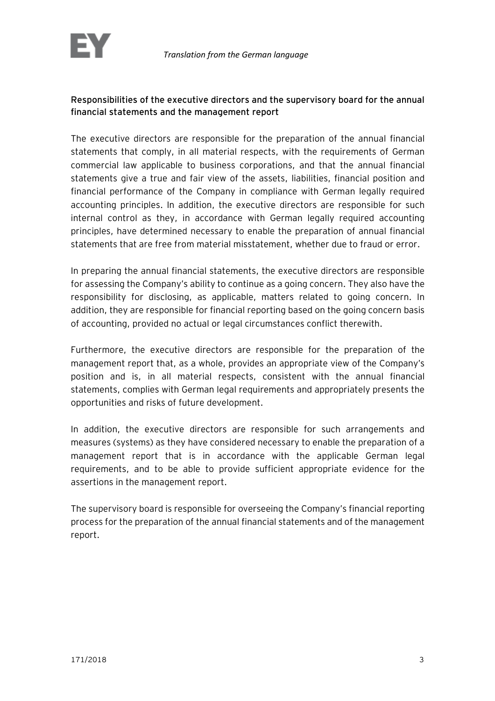# Responsibilities of the executive directors and the supervisory board for the annual financial statements and the management report

The executive directors are responsible for the preparation of the annual financial statements that comply, in all material respects, with the requirements of German commercial law applicable to business corporations, and that the annual financial statements give a true and fair view of the assets, liabilities, financial position and financial performance of the Company in compliance with German legally required accounting principles. In addition, the executive directors are responsible for such internal control as they, in accordance with German legally required accounting principles, have determined necessary to enable the preparation of annual financial statements that are free from material misstatement, whether due to fraud or error.

In preparing the annual financial statements, the executive directors are responsible for assessing the Company's ability to continue as a going concern. They also have the responsibility for disclosing, as applicable, matters related to going concern. In addition, they are responsible for financial reporting based on the going concern basis of accounting, provided no actual or legal circumstances conflict therewith.

Furthermore, the executive directors are responsible for the preparation of the management report that, as a whole, provides an appropriate view of the Company's position and is, in all material respects, consistent with the annual financial statements, complies with German legal requirements and appropriately presents the opportunities and risks of future development.

In addition, the executive directors are responsible for such arrangements and measures (systems) as they have considered necessary to enable the preparation of a management report that is in accordance with the applicable German legal requirements, and to be able to provide sufficient appropriate evidence for the assertions in the management report.

The supervisory board is responsible for overseeing the Company's financial reporting process for the preparation of the annual financial statements and of the management report.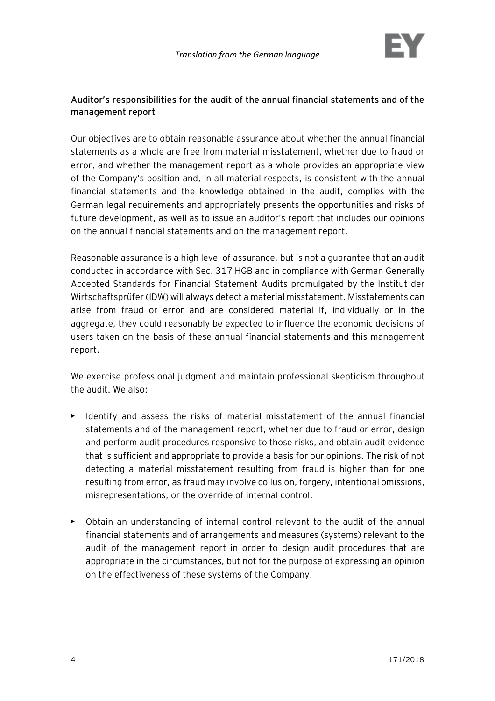

# Auditor's responsibilities for the audit of the annual financial statements and of the management report

Our objectives are to obtain reasonable assurance about whether the annual financial statements as a whole are free from material misstatement, whether due to fraud or error, and whether the management report as a whole provides an appropriate view of the Company's position and, in all material respects, is consistent with the annual financial statements and the knowledge obtained in the audit, complies with the German legal requirements and appropriately presents the opportunities and risks of future development, as well as to issue an auditor's report that includes our opinions on the annual financial statements and on the management report.

Reasonable assurance is a high level of assurance, but is not a guarantee that an audit conducted in accordance with Sec. 317 HGB and in compliance with German Generally Accepted Standards for Financial Statement Audits promulgated by the Institut der Wirtschaftsprüfer (IDW) will always detect a material misstatement. Misstatements can arise from fraud or error and are considered material if, individually or in the aggregate, they could reasonably be expected to influence the economic decisions of users taken on the basis of these annual financial statements and this management report.

We exercise professional judgment and maintain professional skepticism throughout the audit. We also:

- Identify and assess the risks of material misstatement of the annual financial statements and of the management report, whether due to fraud or error, design and perform audit procedures responsive to those risks, and obtain audit evidence that is sufficient and appropriate to provide a basis for our opinions. The risk of not detecting a material misstatement resulting from fraud is higher than for one resulting from error, as fraud may involve collusion, forgery, intentional omissions, misrepresentations, or the override of internal control.
- Obtain an understanding of internal control relevant to the audit of the annual financial statements and of arrangements and measures (systems) relevant to the audit of the management report in order to design audit procedures that are appropriate in the circumstances, but not for the purpose of expressing an opinion on the effectiveness of these systems of the Company.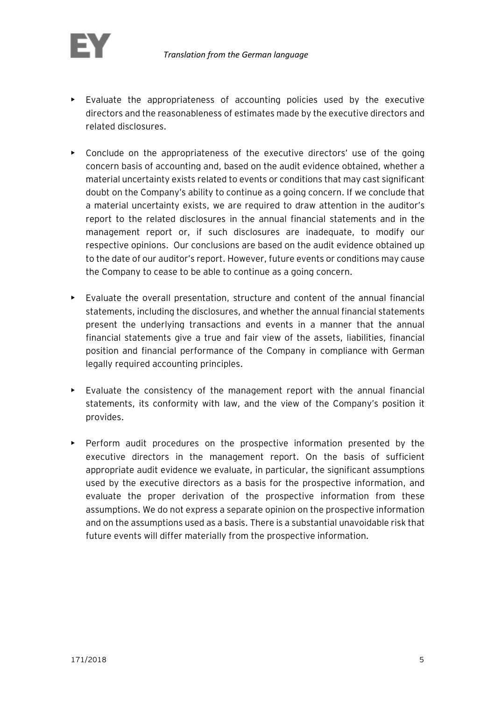

- Evaluate the appropriateness of accounting policies used by the executive directors and the reasonableness of estimates made by the executive directors and related disclosures.
- Conclude on the appropriateness of the executive directors' use of the going concern basis of accounting and, based on the audit evidence obtained, whether a material uncertainty exists related to events or conditions that may cast significant doubt on the Company's ability to continue as a going concern. If we conclude that a material uncertainty exists, we are required to draw attention in the auditor's report to the related disclosures in the annual financial statements and in the management report or, if such disclosures are inadequate, to modify our respective opinions. Our conclusions are based on the audit evidence obtained up to the date of our auditor's report. However, future events or conditions may cause the Company to cease to be able to continue as a going concern.
- Evaluate the overall presentation, structure and content of the annual financial statements, including the disclosures, and whether the annual financial statements present the underlying transactions and events in a manner that the annual financial statements give a true and fair view of the assets, liabilities, financial position and financial performance of the Company in compliance with German legally required accounting principles.
- Evaluate the consistency of the management report with the annual financial statements, its conformity with law, and the view of the Company's position it provides.
- Perform audit procedures on the prospective information presented by the executive directors in the management report. On the basis of sufficient appropriate audit evidence we evaluate, in particular, the significant assumptions used by the executive directors as a basis for the prospective information, and evaluate the proper derivation of the prospective information from these assumptions. We do not express a separate opinion on the prospective information and on the assumptions used as a basis. There is a substantial unavoidable risk that future events will differ materially from the prospective information.